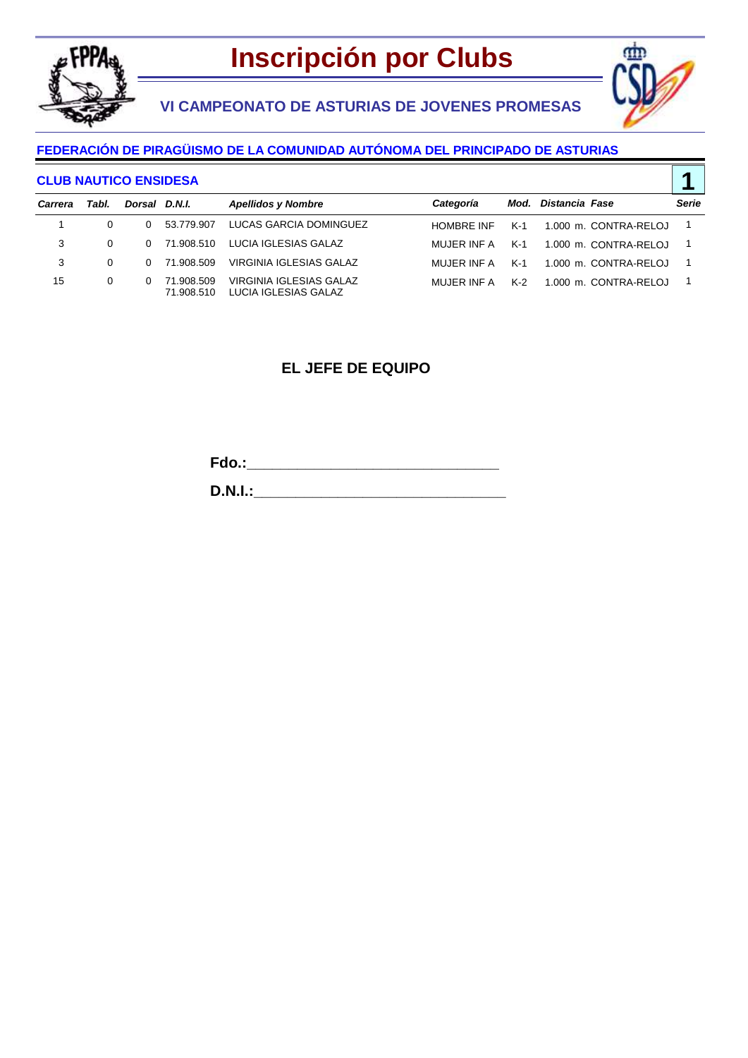

## **VI CAMPEONATO DE ASTURIAS DE JOVENES PROMESAS**



**1**

### **FEDERACIÓN DE PIRAGÜISMO DE LA COMUNIDAD AUTÓNOMA DEL PRINCIPADO DE ASTURIAS**

#### **CLUB NAUTICO ENSIDESA**

| Carrera | Tabl.    | Dorsal D.N.I. |                          | <b>Apellidos y Nombre</b>                       | Categoría         |     | Mod. Distancia Fase   | Serie          |
|---------|----------|---------------|--------------------------|-------------------------------------------------|-------------------|-----|-----------------------|----------------|
|         | $\Omega$ | $\Omega$      | 53.779.907               | LUCAS GARCIA DOMINGUEZ                          | <b>HOMBRE INF</b> | K-1 | 1.000 m. CONTRA-RELOJ | $\blacksquare$ |
| 3       | $\Omega$ |               | 0 71.908.510             | LUCIA IGLESIAS GALAZ                            | MUJER INF A       | K-1 | 1.000 m. CONTRA-RELOJ |                |
| 3       | 0        |               | 0 71.908.509             | VIRGINIA IGI ESIAS GALAZ                        | MUJER INF A       | K-1 | 1.000 m. CONTRA-RELOJ |                |
| 15      | 0        |               | 71.908.509<br>71.908.510 | VIRGINIA IGLESIAS GALAZ<br>LUCIA IGLESIAS GALAZ | MUJER INF A       | K-2 | 1.000 m. CONTRA-RELOJ |                |

### **EL JEFE DE EQUIPO**

**Fdo.:\_\_\_\_\_\_\_\_\_\_\_\_\_\_\_\_\_\_\_\_\_\_\_\_\_\_\_\_\_\_**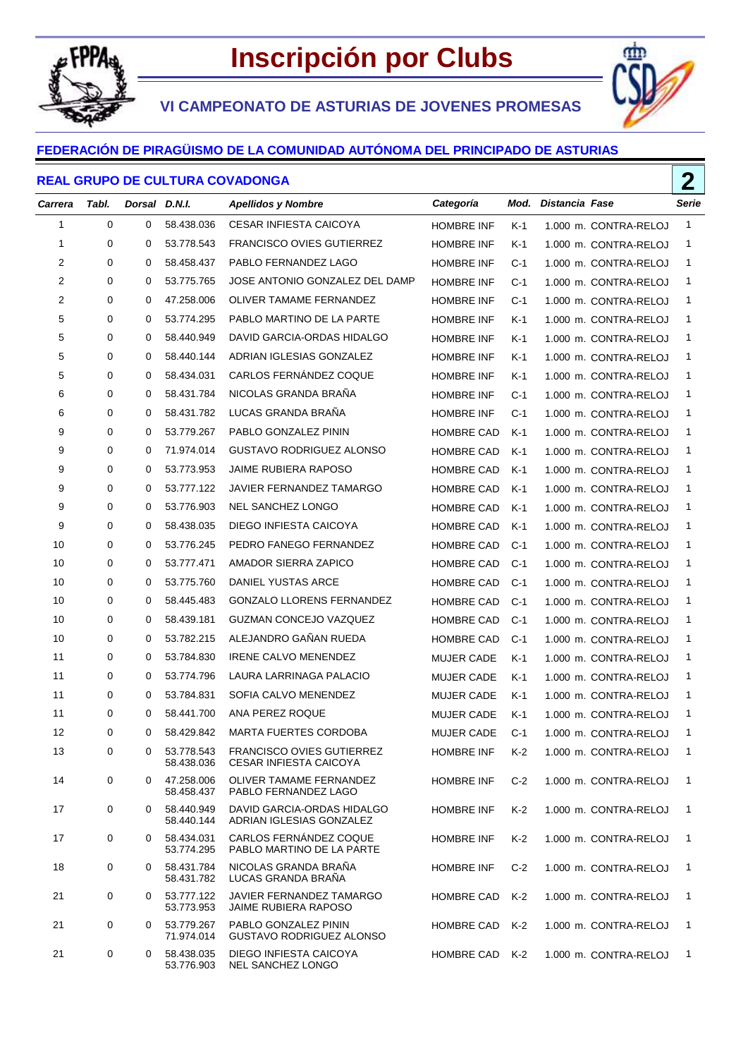

œ٣

**VI CAMPEONATO DE ASTURIAS DE JOVENES PROMESAS**

#### **FEDERACIÓN DE PIRAGÜISMO DE LA COMUNIDAD AUTÓNOMA DEL PRINCIPADO DE ASTURIAS**

#### **REAL GRUPO DE CULTURA COVADONGA**

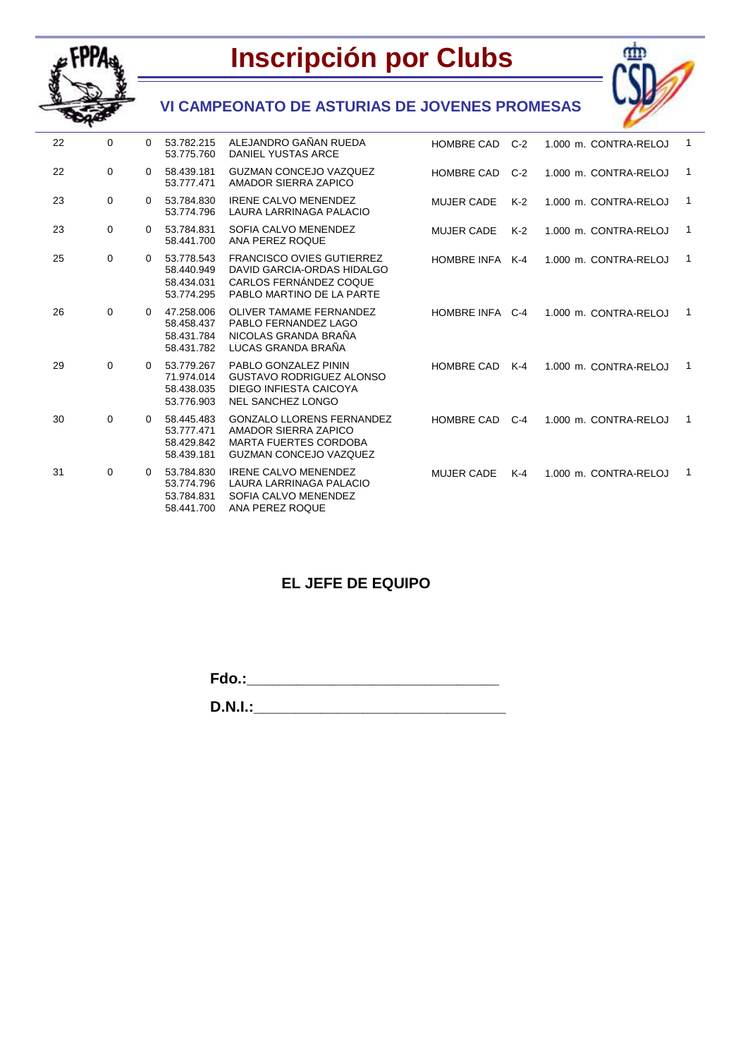



## **VI CAMPEONATO DE ASTURIAS DE JOVENES PROMESAS**

| 22 | $\Omega$    | 0        | 53.782.215<br>53.775.760                             | ALEJANDRO GAÑAN RUEDA<br><b>DANIEL YUSTAS ARCE</b>                                                                        | <b>HOMBRE CAD</b> | $C-2$ | 1.000 m. CONTRA-RELOJ | 1              |
|----|-------------|----------|------------------------------------------------------|---------------------------------------------------------------------------------------------------------------------------|-------------------|-------|-----------------------|----------------|
| 22 | $\Omega$    | $\Omega$ | 58.439.181<br>53.777.471                             | <b>GUZMAN CONCEJO VAZQUEZ</b><br>AMADOR SIERRA ZAPICO                                                                     | <b>HOMBRE CAD</b> | $C-2$ | 1.000 m. CONTRA-RELOJ | $\mathbf{1}$   |
| 23 | $\mathbf 0$ | $\Omega$ | 53.784.830<br>53.774.796                             | <b>IRENE CALVO MENENDEZ</b><br>LAURA LARRINAGA PALACIO                                                                    | <b>MUJER CADE</b> | $K-2$ | 1.000 m. CONTRA-RELOJ | $\overline{1}$ |
| 23 | $\mathbf 0$ | $\Omega$ | 53.784.831<br>58.441.700                             | SOFIA CALVO MENENDEZ<br>ANA PEREZ ROQUE                                                                                   | <b>MUJER CADE</b> | $K-2$ | 1.000 m. CONTRA-RELOJ | 1              |
| 25 | $\mathbf 0$ | $\Omega$ | 53.778.543<br>58.440.949<br>58.434.031<br>53.774.295 | <b>FRANCISCO OVIES GUTIERREZ</b><br>DAVID GARCIA-ORDAS HIDALGO<br>CARLOS FERNÁNDEZ COQUE<br>PABLO MARTINO DE LA PARTE     | HOMBRE INFA K-4   |       | 1.000 m. CONTRA-RELOJ | $\mathbf{1}$   |
| 26 | $\Omega$    | 0        | 47.258.006<br>58.458.437<br>58.431.784<br>58.431.782 | <b>OLIVER TAMAME FERNANDEZ</b><br>PABLO FERNANDEZ LAGO<br>NICOLAS GRANDA BRAÑA<br>LUCAS GRANDA BRAÑA                      | HOMBRE INFA C-4   |       | 1.000 m. CONTRA-RELOJ | 1              |
| 29 | 0           | 0        | 53.779.267<br>71.974.014<br>58.438.035<br>53.776.903 | PABLO GONZALEZ PININ<br><b>GUSTAVO RODRIGUEZ ALONSO</b><br>DIEGO INFIESTA CAICOYA<br><b>NEL SANCHEZ LONGO</b>             | <b>HOMBRE CAD</b> | $K-4$ | 1.000 m. CONTRA-RELOJ | $\overline{1}$ |
| 30 | 0           | $\Omega$ | 58.445.483<br>53.777.471<br>58.429.842<br>58.439.181 | <b>GONZALO LLORENS FERNANDEZ</b><br>AMADOR SIERRA ZAPICO<br><b>MARTA FUERTES CORDOBA</b><br><b>GUZMAN CONCEJO VAZQUEZ</b> | <b>HOMBRE CAD</b> | $C-4$ | 1.000 m. CONTRA-RELOJ | 1              |
| 31 | $\mathbf 0$ | 0        | 53.784.830<br>53.774.796<br>53.784.831<br>58.441.700 | <b>IRENE CALVO MENENDEZ</b><br>LAURA LARRINAGA PALACIO<br>SOFIA CALVO MENENDEZ<br>ANA PEREZ ROQUE                         | <b>MUJER CADE</b> | $K-4$ | 1.000 m. CONTRA-RELOJ | 1              |

### **EL JEFE DE EQUIPO**

**Fdo.:\_\_\_\_\_\_\_\_\_\_\_\_\_\_\_\_\_\_\_\_\_\_\_\_\_\_\_\_\_\_**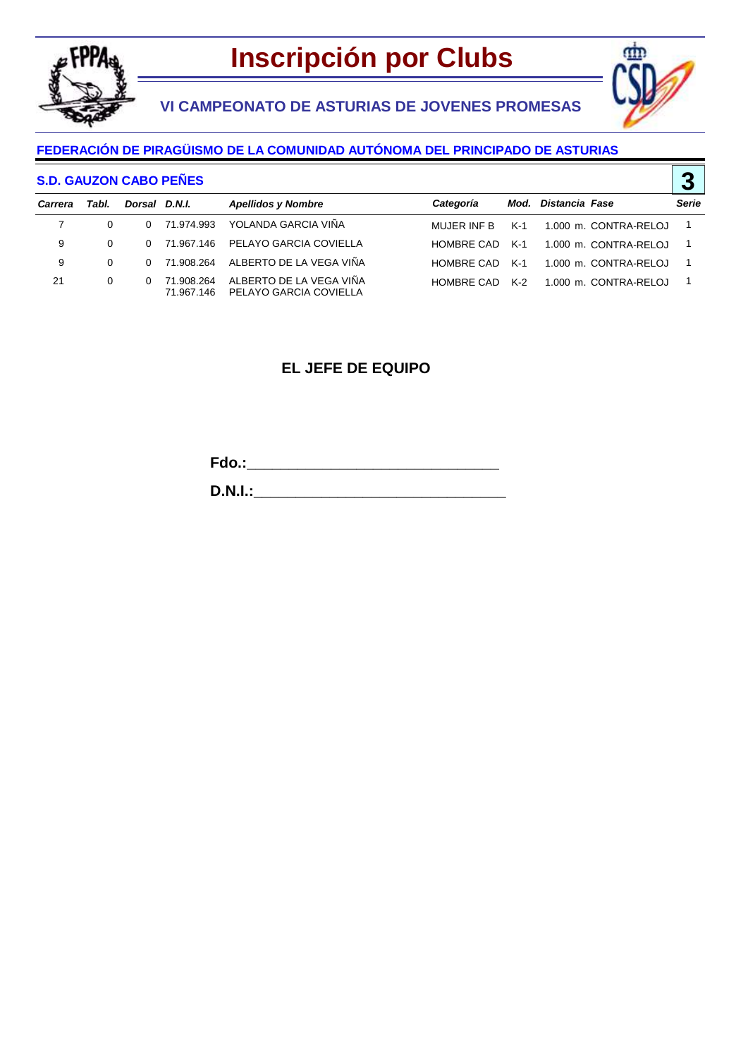

## **VI CAMPEONATO DE ASTURIAS DE JOVENES PROMESAS**



**3**

### **FEDERACIÓN DE PIRAGÜISMO DE LA COMUNIDAD AUTÓNOMA DEL PRINCIPADO DE ASTURIAS**

#### **S.D. GAUZON CABO PEÑES**

| Carrera | Tabl.    | Dorsal D.N.I. |            | <b>Apellidos y Nombre</b>                                    | Categoría   |     | Mod. Distancia Fase   | Serie |
|---------|----------|---------------|------------|--------------------------------------------------------------|-------------|-----|-----------------------|-------|
|         | $\Omega$ |               |            | 0 71.974.993 YOLANDA GARCIA VIÑA                             | MUJER INF B | K-1 | 1.000 m. CONTRA-RELOJ | - 1   |
| 9       | $\Omega$ |               |            | 0 71.967.146 PELAYO GARCIA COVIELLA                          | HOMBRE CAD  | K-1 | 1.000 m. CONTRA-RELOJ | - 1   |
| 9       | $\Omega$ |               |            | 0 71.908.264 ALBERTO DE LA VEGA VIÑA                         | HOMBRE CAD  | K-1 | 1.000 m. CONTRA-RELOJ | - 1   |
| 21      | $\Omega$ | $^{\circ}$    | 71.908.264 | ALBERTO DE LA VEGA VIÑA<br>71.967.146 PELAYO GARCIA COVIELLA | HOMBRE CAD  | K-2 | 1.000 m. CONTRA-RELOJ | - 1   |

### **EL JEFE DE EQUIPO**

**Fdo.:\_\_\_\_\_\_\_\_\_\_\_\_\_\_\_\_\_\_\_\_\_\_\_\_\_\_\_\_\_\_**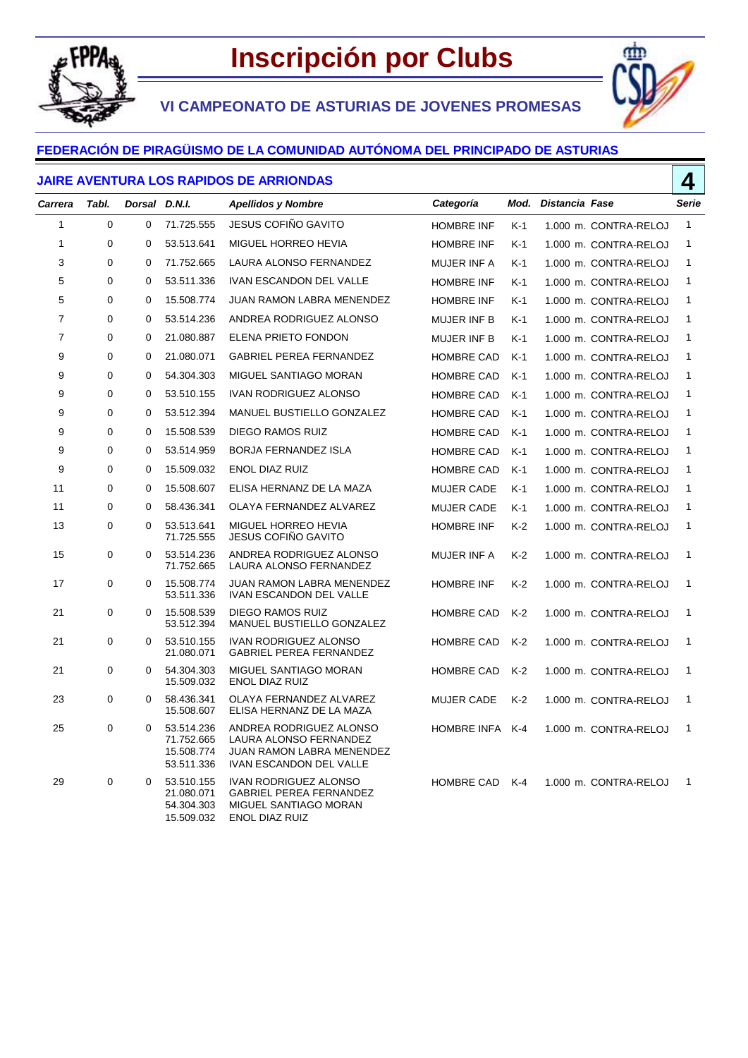

ሙ

**VI CAMPEONATO DE ASTURIAS DE JOVENES PROMESAS**

### **FEDERACIÓN DE PIRAGÜISMO DE LA COMUNIDAD AUTÓNOMA DEL PRINCIPADO DE ASTURIAS**

#### **JAIRE AVENTURA LOS RAPIDOS DE ARRIONDAS**

|                | <b>JAIRE AVENTURA LOS RAPIDOS DE ARRIONDAS</b> |               |                                                      |                                                                                                           |                    |       |                     |                       |              |
|----------------|------------------------------------------------|---------------|------------------------------------------------------|-----------------------------------------------------------------------------------------------------------|--------------------|-------|---------------------|-----------------------|--------------|
| Carrera        | Tabl.                                          | Dorsal D.N.I. |                                                      | <b>Apellidos y Nombre</b>                                                                                 | Categoría          |       | Mod. Distancia Fase |                       | Serie        |
| 1              | 0                                              | 0             | 71.725.555                                           | JESUS COFIÑO GAVITO                                                                                       | <b>HOMBRE INF</b>  | $K-1$ |                     | 1.000 m. CONTRA-RELOJ | $\mathbf{1}$ |
| 1              | 0                                              | 0             | 53.513.641                                           | MIGUEL HORREO HEVIA                                                                                       | <b>HOMBRE INF</b>  | $K-1$ |                     | 1.000 m. CONTRA-RELOJ | 1            |
| 3              | 0                                              | 0             | 71.752.665                                           | LAURA ALONSO FERNANDEZ                                                                                    | MUJER INF A        | $K-1$ |                     | 1.000 m. CONTRA-RELOJ | 1            |
| 5              | 0                                              | 0             | 53.511.336                                           | <b>IVAN ESCANDON DEL VALLE</b>                                                                            | <b>HOMBRE INF</b>  | K-1   |                     | 1.000 m. CONTRA-RELOJ | 1            |
| 5              | $\Omega$                                       | 0             | 15.508.774                                           | JUAN RAMON LABRA MENENDEZ                                                                                 | <b>HOMBRE INF</b>  | $K-1$ |                     | 1.000 m. CONTRA-RELOJ | $\mathbf{1}$ |
| $\overline{7}$ | 0                                              | 0             | 53.514.236                                           | ANDREA RODRIGUEZ ALONSO                                                                                   | <b>MUJER INF B</b> | $K-1$ |                     | 1.000 m. CONTRA-RELOJ | $\mathbf{1}$ |
| $\overline{7}$ | 0                                              | 0             | 21.080.887                                           | ELENA PRIETO FONDON                                                                                       | <b>MUJER INF B</b> | $K-1$ |                     | 1.000 m. CONTRA-RELOJ | $\mathbf{1}$ |
| 9              | $\Omega$                                       | $\Omega$      | 21.080.071                                           | <b>GABRIEL PEREA FERNANDEZ</b>                                                                            | <b>HOMBRE CAD</b>  | K-1   |                     | 1.000 m. CONTRA-RELOJ | $\mathbf{1}$ |
| 9              | 0                                              | 0             | 54.304.303                                           | MIGUEL SANTIAGO MORAN                                                                                     | <b>HOMBRE CAD</b>  | $K-1$ |                     | 1.000 m. CONTRA-RELOJ | $\mathbf{1}$ |
| 9              | $\Omega$                                       | 0             | 53.510.155                                           | IVAN RODRIGUEZ ALONSO                                                                                     | <b>HOMBRE CAD</b>  | $K-1$ |                     | 1.000 m. CONTRA-RELOJ | $\mathbf{1}$ |
| 9              | $\mathbf 0$                                    | 0             | 53.512.394                                           | MANUEL BUSTIELLO GONZALEZ                                                                                 | <b>HOMBRE CAD</b>  | $K-1$ |                     | 1.000 m. CONTRA-RELOJ | $\mathbf{1}$ |
| 9              | 0                                              | 0             | 15.508.539                                           | <b>DIEGO RAMOS RUIZ</b>                                                                                   | <b>HOMBRE CAD</b>  | $K-1$ |                     | 1.000 m. CONTRA-RELOJ | $\mathbf{1}$ |
| 9              | 0                                              | 0             | 53.514.959                                           | <b>BORJA FERNANDEZ ISLA</b>                                                                               | <b>HOMBRE CAD</b>  | $K-1$ |                     | 1.000 m. CONTRA-RELOJ | $\mathbf{1}$ |
| 9              | 0                                              | 0             | 15.509.032                                           | <b>ENOL DIAZ RUIZ</b>                                                                                     | <b>HOMBRE CAD</b>  | $K-1$ |                     | 1.000 m. CONTRA-RELOJ | 1            |
| 11             | $\Omega$                                       | 0             | 15.508.607                                           | ELISA HERNANZ DE LA MAZA                                                                                  | <b>MUJER CADE</b>  | K-1   |                     | 1.000 m. CONTRA-RELOJ | $\mathbf{1}$ |
| 11             | 0                                              | 0             | 58.436.341                                           | OLAYA FERNANDEZ ALVAREZ                                                                                   | <b>MUJER CADE</b>  | $K-1$ |                     | 1.000 m. CONTRA-RELOJ | $\mathbf{1}$ |
| 13             | $\Omega$                                       | $\Omega$      | 53.513.641<br>71.725.555                             | MIGUEL HORREO HEVIA<br><b>JESUS COFIÑO GAVITO</b>                                                         | <b>HOMBRE INF</b>  | $K-2$ |                     | 1.000 m. CONTRA-RELOJ | $\mathbf{1}$ |
| 15             | 0                                              | 0             | 53.514.236<br>71.752.665                             | ANDREA RODRIGUEZ ALONSO<br>LAURA ALONSO FERNANDEZ                                                         | <b>MUJER INF A</b> | K-2   |                     | 1.000 m. CONTRA-RELOJ | $\mathbf{1}$ |
| 17             | 0                                              | 0             | 15.508.774<br>53.511.336                             | JUAN RAMON LABRA MENENDEZ<br><b>IVAN ESCANDON DEL VALLE</b>                                               | <b>HOMBRE INF</b>  | $K-2$ |                     | 1.000 m. CONTRA-RELOJ | $\mathbf{1}$ |
| 21             | $\mathbf 0$                                    | 0             | 15.508.539<br>53.512.394                             | <b>DIEGO RAMOS RUIZ</b><br>MANUEL BUSTIELLO GONZALEZ                                                      | <b>HOMBRE CAD</b>  | $K-2$ |                     | 1.000 m. CONTRA-RELOJ | $\mathbf{1}$ |
| 21             | 0                                              | $\Omega$      | 53.510.155<br>21.080.071                             | <b>IVAN RODRIGUEZ ALONSO</b><br><b>GABRIEL PEREA FERNANDEZ</b>                                            | <b>HOMBRE CAD</b>  | $K-2$ |                     | 1.000 m. CONTRA-RELOJ | $\mathbf{1}$ |
| 21             | 0                                              | 0             | 54.304.303<br>15.509.032                             | MIGUEL SANTIAGO MORAN<br><b>ENOL DIAZ RUIZ</b>                                                            | <b>HOMBRE CAD</b>  | $K-2$ |                     | 1.000 m. CONTRA-RELOJ | $\mathbf{1}$ |
| 23             | 0                                              | 0             | 58.436.341<br>15.508.607                             | OLAYA FERNANDEZ ALVAREZ<br>ELISA HERNANZ DE LA MAZA                                                       | <b>MUJER CADE</b>  | $K-2$ |                     | 1.000 m. CONTRA-RELOJ | $\mathbf{1}$ |
| 25             | 0                                              | $\Omega$      | 53.514.236<br>71.752.665<br>15.508.774<br>53.511.336 | ANDREA RODRIGUEZ ALONSO<br>LAURA ALONSO FERNANDEZ<br>JUAN RAMON LABRA MENENDEZ<br>IVAN ESCANDON DEL VALLE | HOMBRE INFA K-4    |       |                     | 1.000 m. CONTRA-RELOJ | $\mathbf{1}$ |
| 29             | 0                                              | 0             | 53.510.155<br>21.080.071<br>54.304.303<br>15.509.032 | <b>IVAN RODRIGUEZ ALONSO</b><br><b>GABRIEL PEREA FERNANDEZ</b><br>MIGUEL SANTIAGO MORAN<br>ENOL DIAZ RUIZ | <b>HOMBRE CAD</b>  | $K-4$ |                     | 1.000 m. CONTRA-RELOJ | $\mathbf{1}$ |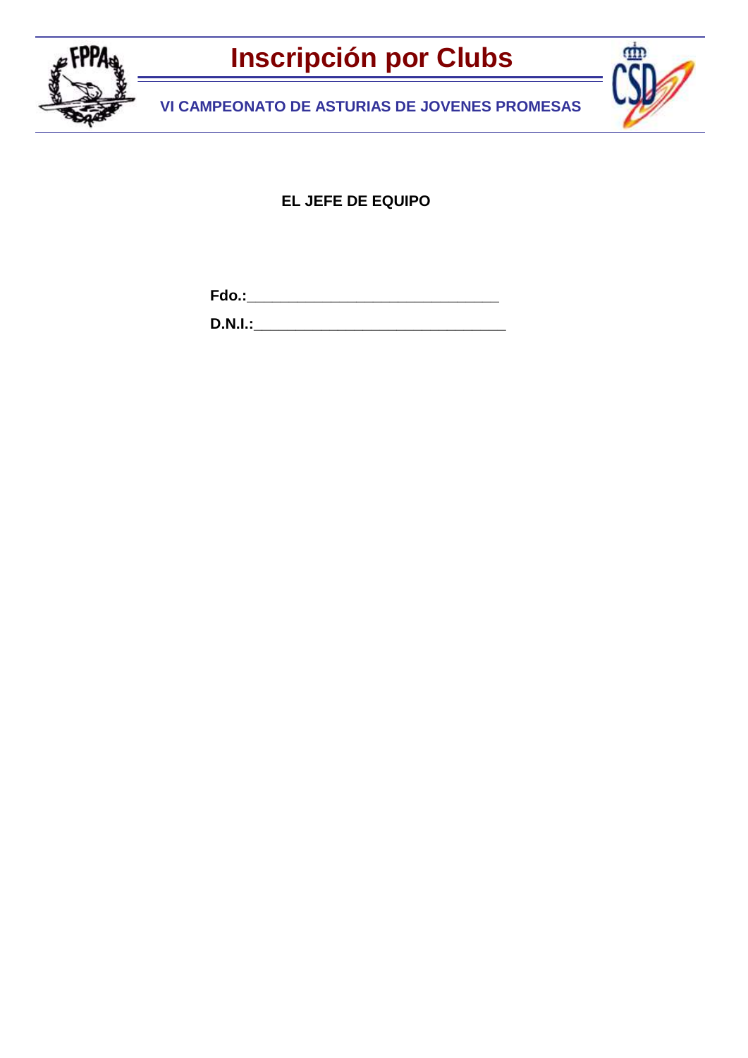

dm

**VI CAMPEONATO DE ASTURIAS DE JOVENES PROMESAS**

**EL JEFE DE EQUIPO**

**Fdo.:\_\_\_\_\_\_\_\_\_\_\_\_\_\_\_\_\_\_\_\_\_\_\_\_\_\_\_\_\_\_**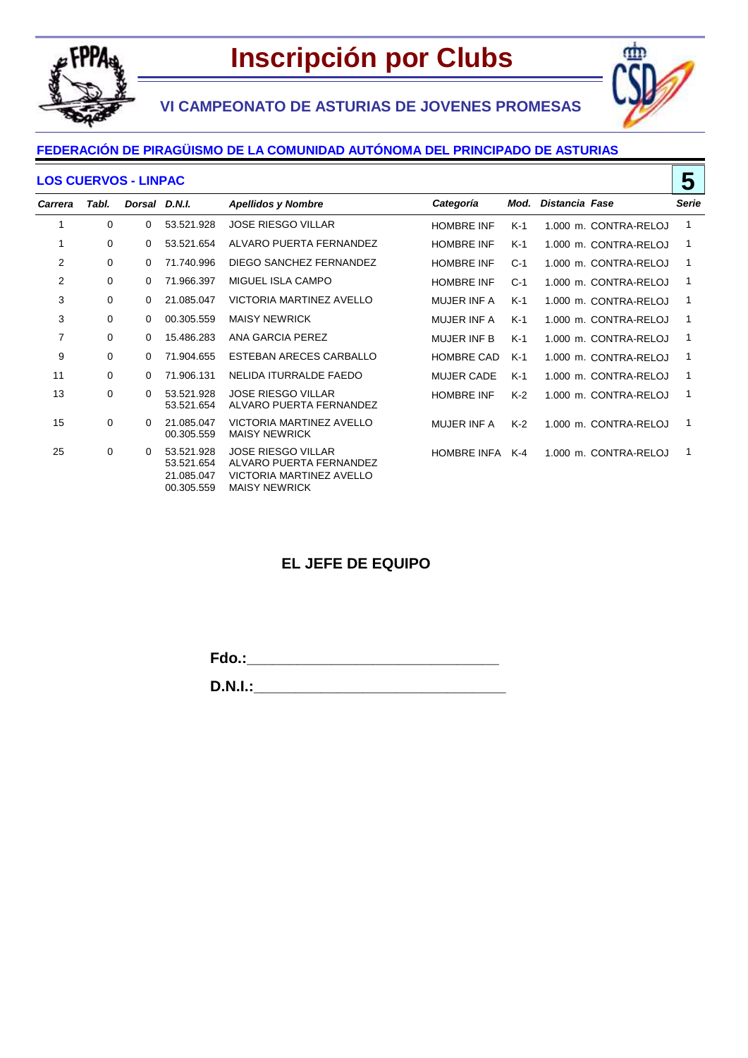

٢m



### **FEDERACIÓN DE PIRAGÜISMO DE LA COMUNIDAD AUTÓNOMA DEL PRINCIPADO DE ASTURIAS**

#### **LOS CUERVOS - LINPAC**

|                | 5<br><b>LOS CUERVOS - LINPAC</b> |               |                                                      |                                                                                                                 |                    |       |                |                       |              |
|----------------|----------------------------------|---------------|------------------------------------------------------|-----------------------------------------------------------------------------------------------------------------|--------------------|-------|----------------|-----------------------|--------------|
| <b>Carrera</b> | Tabl.                            | Dorsal D.N.I. |                                                      | <b>Apellidos y Nombre</b>                                                                                       | Categoría          | Mod.  | Distancia Fase |                       | <b>Serie</b> |
| 1              | 0                                | 0             | 53.521.928                                           | <b>JOSE RIESGO VILLAR</b>                                                                                       | <b>HOMBRE INF</b>  | $K-1$ |                | 1.000 m. CONTRA-RELOJ | 1            |
|                | 0                                | 0             | 53.521.654                                           | ALVARO PUERTA FERNANDEZ                                                                                         | <b>HOMBRE INF</b>  | K-1   |                | 1.000 m. CONTRA-RELOJ |              |
| 2              | 0                                | $\Omega$      | 71.740.996                                           | DIEGO SANCHEZ FERNANDEZ                                                                                         | <b>HOMBRE INF</b>  | $C-1$ |                | 1.000 m. CONTRA-RELOJ | 1            |
| 2              | 0                                | $\Omega$      | 71.966.397                                           | MIGUEL ISLA CAMPO                                                                                               | <b>HOMBRE INF</b>  | $C-1$ |                | 1.000 m. CONTRA-RELOJ | 1            |
| 3              | 0                                | $\Omega$      | 21.085.047                                           | VICTORIA MARTINEZ AVELLO                                                                                        | <b>MUJER INF A</b> | K-1   |                | 1.000 m. CONTRA-RELOJ | 1            |
| 3              | 0                                | 0             | 00.305.559                                           | <b>MAISY NEWRICK</b>                                                                                            | <b>MUJER INF A</b> | $K-1$ |                | 1.000 m. CONTRA-RELOJ | 1            |
| 7              | 0                                | 0             | 15.486.283                                           | ANA GARCIA PEREZ                                                                                                | <b>MUJER INF B</b> | K-1   |                | 1.000 m. CONTRA-RELOJ |              |
| 9              | 0                                | $\Omega$      | 71.904.655                                           | ESTEBAN ARECES CARBALLO                                                                                         | <b>HOMBRE CAD</b>  | $K-1$ |                | 1.000 m. CONTRA-RELOJ |              |
| 11             | 0                                | 0             | 71.906.131                                           | NELIDA ITURRALDE FAEDO                                                                                          | <b>MUJER CADE</b>  | $K-1$ |                | 1.000 m. CONTRA-RELOJ | 1            |
| 13             | 0                                | 0             | 53.521.928<br>53.521.654                             | <b>JOSE RIESGO VILLAR</b><br>ALVARO PUERTA FERNANDEZ                                                            | <b>HOMBRE INF</b>  | $K-2$ |                | 1.000 m. CONTRA-RELOJ | 1            |
| 15             | 0                                | $\Omega$      | 21.085.047<br>00.305.559                             | VICTORIA MARTINEZ AVELLO<br><b>MAISY NEWRICK</b>                                                                | MUJER INF A        | $K-2$ |                | 1.000 m. CONTRA-RELOJ | 1            |
| 25             | 0                                | 0             | 53.521.928<br>53.521.654<br>21.085.047<br>00.305.559 | <b>JOSE RIESGO VILLAR</b><br>ALVARO PUERTA FERNANDEZ<br><b>VICTORIA MARTINEZ AVELLO</b><br><b>MAISY NEWRICK</b> | <b>HOMBRE INFA</b> | $K-4$ |                | 1.000 m. CONTRA-RELOJ |              |

## **EL JEFE DE EQUIPO**

**Fdo.:\_\_\_\_\_\_\_\_\_\_\_\_\_\_\_\_\_\_\_\_\_\_\_\_\_\_\_\_\_\_**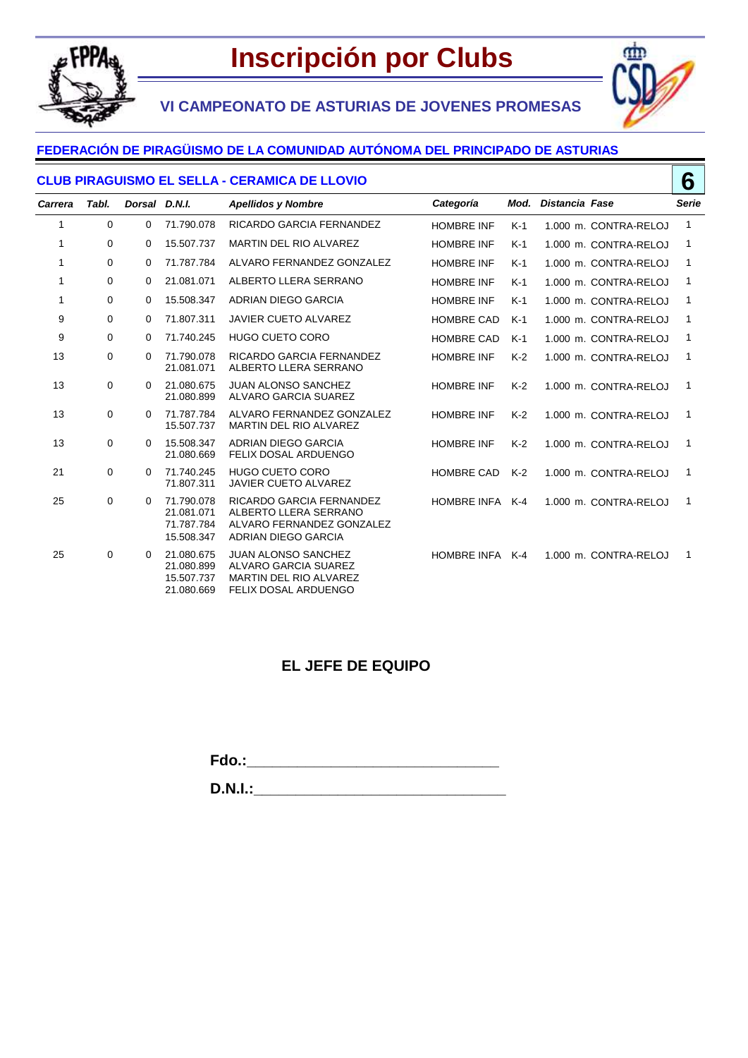

**VI CAMPEONATO DE ASTURIAS DE JOVENES PROMESAS**



### **FEDERACIÓN DE PIRAGÜISMO DE LA COMUNIDAD AUTÓNOMA DEL PRINCIPADO DE ASTURIAS**

#### **CLUB PIRAGUISMO EL SELLA - CERAMICA DE LLOVIO**

|             | 6<br><b>CLUB PIRAGUISMO EL SELLA - CERAMICA DE LLOVIO</b> |               |                                                      |                                                                                                                    |                    |       |                       |                       |              |
|-------------|-----------------------------------------------------------|---------------|------------------------------------------------------|--------------------------------------------------------------------------------------------------------------------|--------------------|-------|-----------------------|-----------------------|--------------|
| Carrera     | Tabl.                                                     | Dorsal D.N.I. |                                                      | <b>Apellidos y Nombre</b>                                                                                          | Categoría          | Mod.  | <b>Distancia Fase</b> |                       | <b>Serie</b> |
| 1           | $\mathbf 0$                                               | $\mathbf 0$   | 71.790.078                                           | RICARDO GARCIA FERNANDEZ                                                                                           | <b>HOMBRE INF</b>  | $K-1$ |                       | 1.000 m. CONTRA-RELOJ | 1            |
| 1           | 0                                                         | 0             | 15.507.737                                           | MARTIN DEL RIO ALVAREZ                                                                                             | <b>HOMBRE INF</b>  | $K-1$ |                       | 1.000 m. CONTRA-RELOJ | 1            |
| -1          | $\mathbf 0$                                               | $\mathbf 0$   | 71.787.784                                           | ALVARO FERNANDEZ GONZALEZ                                                                                          | <b>HOMBRE INF</b>  | $K-1$ |                       | 1.000 m. CONTRA-RELOJ | 1            |
| $\mathbf 1$ | 0                                                         | 0             | 21.081.071                                           | ALBERTO LLERA SERRANO                                                                                              | <b>HOMBRE INF</b>  | $K-1$ |                       | 1.000 m. CONTRA-RELOJ | 1            |
| 1           | 0                                                         | 0             | 15.508.347                                           | ADRIAN DIEGO GARCIA                                                                                                | <b>HOMBRE INF</b>  | $K-1$ |                       | 1.000 m. CONTRA-RELOJ | 1            |
| 9           | 0                                                         | 0             | 71.807.311                                           | <b>JAVIER CUETO ALVAREZ</b>                                                                                        | <b>HOMBRE CAD</b>  | $K-1$ |                       | 1.000 m. CONTRA-RELOJ | 1            |
| 9           | 0                                                         | 0             | 71.740.245                                           | <b>HUGO CUETO CORO</b>                                                                                             | <b>HOMBRE CAD</b>  | $K-1$ |                       | 1.000 m. CONTRA-RELOJ | 1            |
| 13          | $\mathbf 0$                                               | $\Omega$      | 71.790.078<br>21.081.071                             | RICARDO GARCIA FERNANDEZ<br>ALBERTO LLERA SERRANO                                                                  | <b>HOMBRE INF</b>  | $K-2$ |                       | 1.000 m. CONTRA-RELOJ | 1            |
| 13          | 0                                                         | 0             | 21.080.675<br>21.080.899                             | <b>JUAN ALONSO SANCHEZ</b><br><b>ALVARO GARCIA SUAREZ</b>                                                          | <b>HOMBRE INF</b>  | $K-2$ |                       | 1.000 m. CONTRA-RELOJ | 1            |
| 13          | $\mathbf 0$                                               | 0             | 71.787.784<br>15.507.737                             | ALVARO FERNANDEZ GONZALEZ<br><b>MARTIN DEL RIO ALVAREZ</b>                                                         | <b>HOMBRE INF</b>  | $K-2$ |                       | 1.000 m. CONTRA-RELOJ | 1            |
| 13          | 0                                                         | $\Omega$      | 15.508.347<br>21.080.669                             | ADRIAN DIEGO GARCIA<br>FELIX DOSAL ARDUENGO                                                                        | <b>HOMBRE INF</b>  | $K-2$ |                       | 1.000 m. CONTRA-RELOJ | 1            |
| 21          | 0                                                         | $\Omega$      | 71.740.245<br>71.807.311                             | <b>HUGO CUETO CORO</b><br><b>JAVIER CUETO ALVAREZ</b>                                                              | <b>HOMBRE CAD</b>  | $K-2$ |                       | 1.000 m. CONTRA-RELOJ | 1            |
| 25          | 0                                                         | 0             | 71.790.078<br>21.081.071<br>71.787.784<br>15.508.347 | RICARDO GARCIA FERNANDEZ<br>ALBERTO LLERA SERRANO<br>ALVARO FERNANDEZ GONZALEZ<br>ADRIAN DIEGO GARCIA              | <b>HOMBRE INFA</b> | $K-4$ |                       | 1.000 m. CONTRA-RELOJ | 1            |
| 25          | 0                                                         | $\Omega$      | 21.080.675<br>21.080.899<br>15.507.737<br>21.080.669 | <b>JUAN ALONSO SANCHEZ</b><br>ALVARO GARCIA SUAREZ<br><b>MARTIN DEL RIO ALVAREZ</b><br><b>FELIX DOSAL ARDUENGO</b> | HOMBRE INFA K-4    |       |                       | 1.000 m. CONTRA-RELOJ | 1            |

### **EL JEFE DE EQUIPO**

**Fdo.:\_\_\_\_\_\_\_\_\_\_\_\_\_\_\_\_\_\_\_\_\_\_\_\_\_\_\_\_\_\_**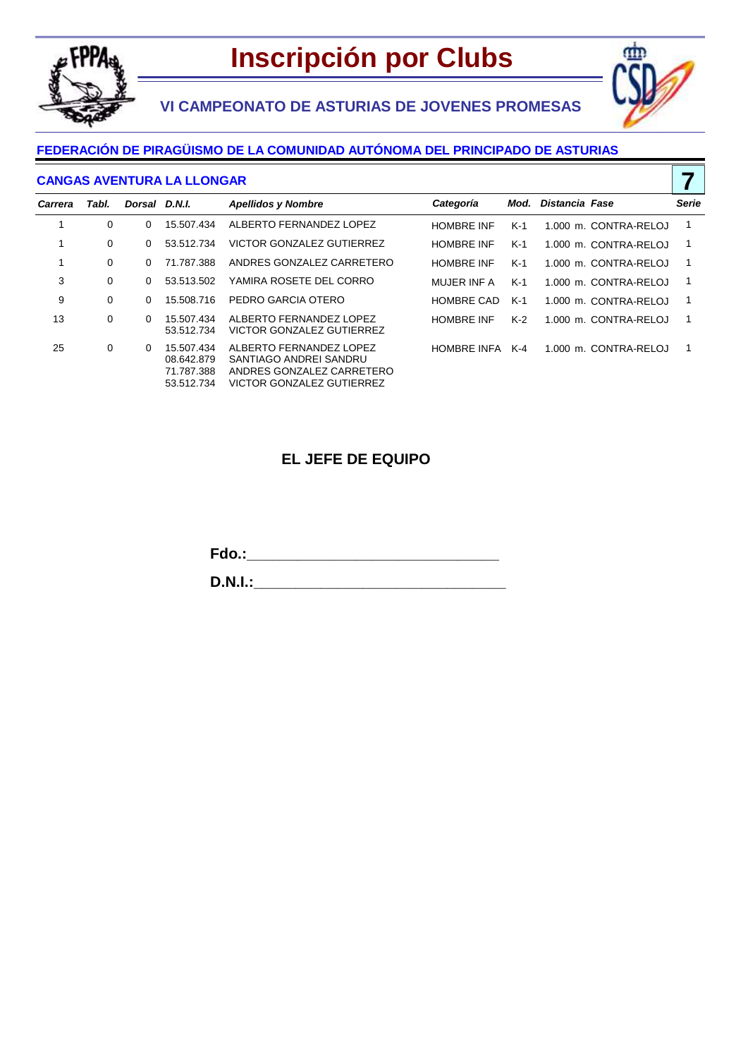





**7**

#### **FEDERACIÓN DE PIRAGÜISMO DE LA COMUNIDAD AUTÓNOMA DEL PRINCIPADO DE ASTURIAS**

#### **CANGAS AVENTURA LA LLONGAR**

| Carrera | Tabl. | Dorsal D.N.I. |                                                      | <b>Apellidos y Nombre</b>                                                                                   | Categoría          | Mod.  | Distancia Fase |                       | Serie          |
|---------|-------|---------------|------------------------------------------------------|-------------------------------------------------------------------------------------------------------------|--------------------|-------|----------------|-----------------------|----------------|
|         | 0     | $\Omega$      | 15.507.434                                           | ALBERTO FERNANDEZ LOPEZ                                                                                     | <b>HOMBRE INF</b>  | $K-1$ |                | 1.000 m. CONTRA-RELOJ | $\mathbf 1$    |
|         | 0     | 0             | 53.512.734                                           | VICTOR GONZALEZ GUTIERREZ                                                                                   | <b>HOMBRE INF</b>  | $K-1$ |                | 1.000 m. CONTRA-RELOJ | -1             |
|         | 0     | $\Omega$      | 71.787.388                                           | ANDRES GONZALEZ CARRETERO                                                                                   | <b>HOMBRE INF</b>  | $K-1$ |                | 1.000 m. CONTRA-RELOJ | $\overline{1}$ |
| 3       | 0     | 0             | 53.513.502                                           | YAMIRA ROSETE DEL CORRO                                                                                     | MUJER INF A        | $K-1$ |                | 1.000 m. CONTRA-RELOJ | -1             |
| 9       | 0     | $\Omega$      | 15.508.716                                           | PEDRO GARCIA OTERO                                                                                          | <b>HOMBRE CAD</b>  | K-1   |                | 1.000 m. CONTRA-RELOJ | -1             |
| 13      | 0     | 0             | 15.507.434<br>53.512.734                             | ALBERTO FERNANDEZ LOPEZ<br>VICTOR GONZALEZ GUTIERREZ                                                        | <b>HOMBRE INF</b>  | $K-2$ |                | 1.000 m. CONTRA-RELOJ | -1             |
| 25      | 0     | 0             | 15.507.434<br>08.642.879<br>71.787.388<br>53.512.734 | ALBERTO FERNANDEZ LOPEZ<br>SANTIAGO ANDREI SANDRU<br>ANDRES GONZALEZ CARRETERO<br>VICTOR GONZALEZ GUTIERREZ | <b>HOMBRE INFA</b> | K-4   |                | 1.000 m. CONTRA-RELOJ |                |

### **EL JEFE DE EQUIPO**

**Fdo.:\_\_\_\_\_\_\_\_\_\_\_\_\_\_\_\_\_\_\_\_\_\_\_\_\_\_\_\_\_\_**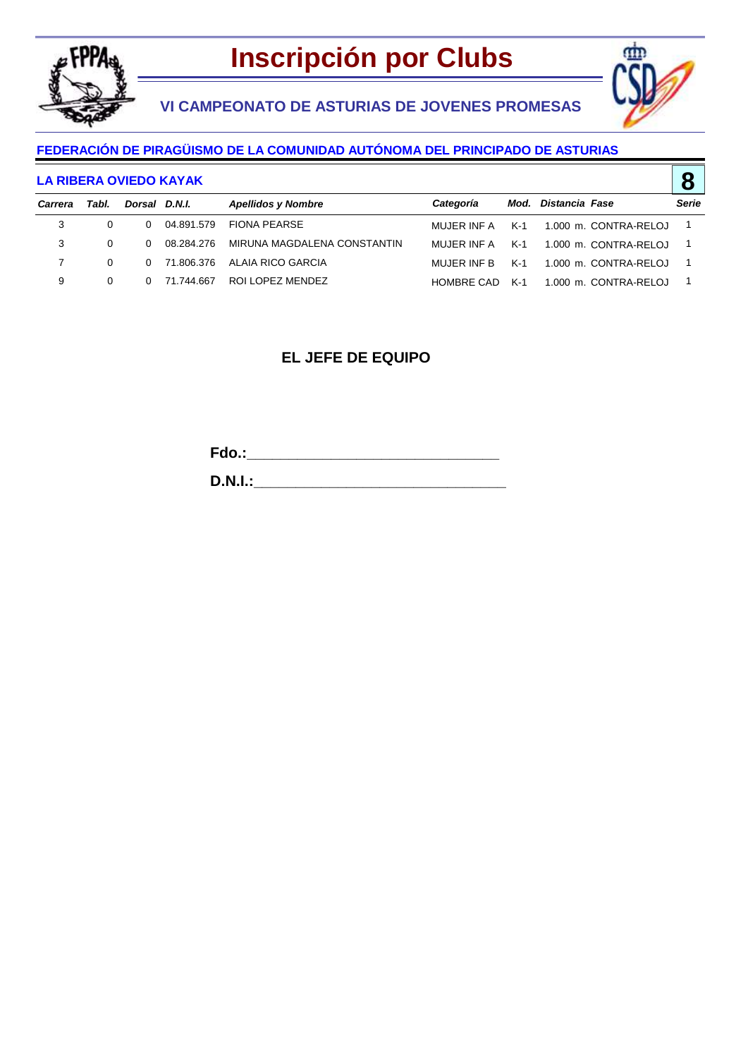

**VI CAMPEONATO DE ASTURIAS DE JOVENES PROMESAS**



**8**

#### **FEDERACIÓN DE PIRAGÜISMO DE LA COMUNIDAD AUTÓNOMA DEL PRINCIPADO DE ASTURIAS**

#### **LA RIBERA OVIEDO KAYAK**

|         |          |               |              |                                |                 |     |                       | $\tilde{\phantom{a}}$ |
|---------|----------|---------------|--------------|--------------------------------|-----------------|-----|-----------------------|-----------------------|
| Carrera | Tabl.    | Dorsal D.N.I. |              | <b>Apellidos y Nombre</b>      | Categoría       |     | Mod. Distancia Fase   | Serie                 |
| 3       | $\Omega$ | $\Omega$      | 04.891.579   | FIONA PEARSE                   | MUJER INF A K-1 |     | 1.000 m. CONTRA-RELOJ | - 1                   |
| 3       | $\Omega$ | $\Omega$      | 08.284.276   | MIRUNA MAGDALENA CONSTANTIN    | MUJER INF A     | K-1 | 1.000 m. CONTRA-RELOJ | - 1                   |
|         | $\Omega$ |               |              | 0 71.806.376 ALAIA RICO GARCIA | MUJER INF B     | K-1 | 1.000 m. CONTRA-RELOJ |                       |
| 9       | $\Omega$ |               | 0 71.744.667 | ROLLOPEZ MENDEZ                | HOMBRE CAD      | K-1 | 1.000 m. CONTRA-RELOJ |                       |

### **EL JEFE DE EQUIPO**

**Fdo.:\_\_\_\_\_\_\_\_\_\_\_\_\_\_\_\_\_\_\_\_\_\_\_\_\_\_\_\_\_\_**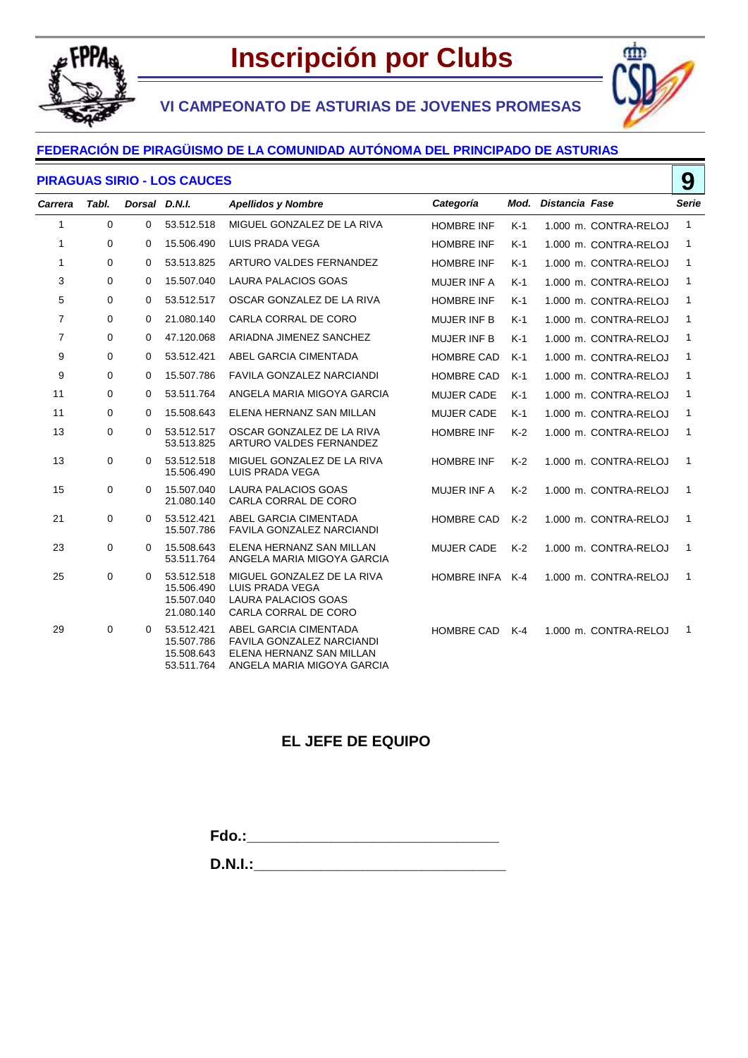

**VI CAMPEONATO DE ASTURIAS DE JOVENES PROMESAS**

**9**

٢m

#### **FEDERACIÓN DE PIRAGÜISMO DE LA COMUNIDAD AUTÓNOMA DEL PRINCIPADO DE ASTURIAS**

#### **PIRAGUAS SIRIO - LOS CAUCES**

| Carrera        | Tabl. | Dorsal D.N.I. |                                                      | <b>Apellidos y Nombre</b>                                                                                    | Categoría          | Mod.  | Distancia Fase |                       | Serie        |
|----------------|-------|---------------|------------------------------------------------------|--------------------------------------------------------------------------------------------------------------|--------------------|-------|----------------|-----------------------|--------------|
| 1              | 0     | 0             | 53.512.518                                           | MIGUEL GONZALEZ DE LA RIVA                                                                                   | <b>HOMBRE INF</b>  | $K-1$ |                | 1.000 m. CONTRA-RELOJ | $\mathbf{1}$ |
| 1              | 0     | 0             | 15.506.490                                           | LUIS PRADA VEGA                                                                                              | <b>HOMBRE INF</b>  | $K-1$ |                | 1.000 m. CONTRA-RELOJ | 1            |
| 1              | 0     | 0             | 53.513.825                                           | ARTURO VALDES FERNANDEZ                                                                                      | <b>HOMBRE INF</b>  | $K-1$ |                | 1.000 m. CONTRA-RELOJ | 1            |
| 3              | 0     | 0             | 15.507.040                                           | LAURA PALACIOS GOAS                                                                                          | <b>MUJER INF A</b> | $K-1$ |                | 1.000 m. CONTRA-RELOJ | 1            |
| 5              | 0     | 0             | 53.512.517                                           | OSCAR GONZALEZ DE LA RIVA                                                                                    | <b>HOMBRE INF</b>  | $K-1$ |                | 1.000 m. CONTRA-RELOJ | 1            |
| $\overline{7}$ | 0     | $\Omega$      | 21.080.140                                           | CARLA CORRAL DE CORO                                                                                         | <b>MUJER INF B</b> | $K-1$ |                | 1.000 m. CONTRA-RELOJ | 1            |
| $\overline{7}$ | 0     | 0             | 47.120.068                                           | ARIADNA JIMENEZ SANCHEZ                                                                                      | <b>MUJER INF B</b> | $K-1$ |                | 1.000 m. CONTRA-RELOJ | 1            |
| 9              | 0     | 0             | 53.512.421                                           | ABEL GARCIA CIMENTADA                                                                                        | <b>HOMBRE CAD</b>  | $K-1$ |                | 1.000 m. CONTRA-RELOJ | 1            |
| 9              | 0     | 0             | 15.507.786                                           | <b>FAVILA GONZALEZ NARCIANDI</b>                                                                             | <b>HOMBRE CAD</b>  | $K-1$ |                | 1.000 m. CONTRA-RELOJ | 1            |
| 11             | 0     | 0             | 53.511.764                                           | ANGELA MARIA MIGOYA GARCIA                                                                                   | <b>MUJER CADE</b>  | $K-1$ |                | 1.000 m. CONTRA-RELOJ | 1            |
| 11             | 0     | 0             | 15.508.643                                           | ELENA HERNANZ SAN MILLAN                                                                                     | <b>MUJER CADE</b>  | $K-1$ |                | 1.000 m. CONTRA-RELOJ | 1            |
| 13             | 0     | 0             | 53.512.517<br>53.513.825                             | OSCAR GONZALEZ DE LA RIVA<br>ARTURO VALDES FERNANDEZ                                                         | <b>HOMBRE INF</b>  | $K-2$ |                | 1.000 m. CONTRA-RELOJ | 1            |
| 13             | 0     | 0             | 53.512.518<br>15.506.490                             | MIGUEL GONZALEZ DE LA RIVA<br>LUIS PRADA VEGA                                                                | <b>HOMBRE INF</b>  | $K-2$ |                | 1.000 m. CONTRA-RELOJ | 1            |
| 15             | 0     | $\Omega$      | 15.507.040<br>21.080.140                             | <b>LAURA PALACIOS GOAS</b><br>CARLA CORRAL DE CORO                                                           | MUJER INF A        | $K-2$ |                | 1.000 m. CONTRA-RELOJ | $\mathbf{1}$ |
| 21             | 0     | 0             | 53.512.421<br>15.507.786                             | ABEL GARCIA CIMENTADA<br>FAVILA GONZALEZ NARCIANDI                                                           | HOMBRE CAD         | $K-2$ |                | 1.000 m. CONTRA-RELOJ | 1            |
| 23             | 0     | 0             | 15.508.643<br>53.511.764                             | ELENA HERNANZ SAN MILLAN<br>ANGELA MARIA MIGOYA GARCIA                                                       | <b>MUJER CADE</b>  | $K-2$ |                | 1.000 m. CONTRA-RELOJ | $\mathbf{1}$ |
| 25             | 0     | 0             | 53.512.518<br>15.506.490<br>15.507.040<br>21.080.140 | MIGUEL GONZALEZ DE LA RIVA<br>LUIS PRADA VEGA<br><b>LAURA PALACIOS GOAS</b><br>CARLA CORRAL DE CORO          | <b>HOMBRE INFA</b> | $K-4$ |                | 1.000 m. CONTRA-RELOJ | $\mathbf{1}$ |
| 29             | 0     | 0             | 53.512.421<br>15.507.786<br>15.508.643<br>53.511.764 | ABEL GARCIA CIMENTADA<br>FAVILA GONZALEZ NARCIANDI<br>ELENA HERNANZ SAN MILLAN<br>ANGELA MARIA MIGOYA GARCIA | HOMBRE CAD         | K-4   |                | 1.000 m. CONTRA-RELOJ | $\mathbf{1}$ |

## **EL JEFE DE EQUIPO**

**Fdo.:\_\_\_\_\_\_\_\_\_\_\_\_\_\_\_\_\_\_\_\_\_\_\_\_\_\_\_\_\_\_**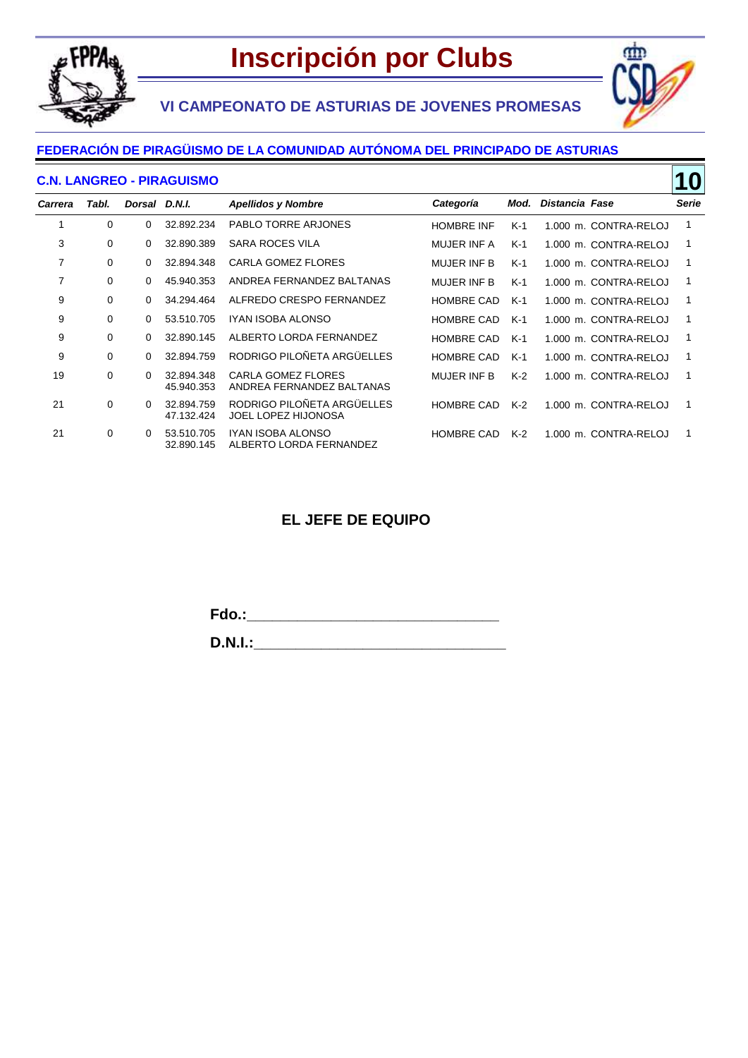





## **FEDERACIÓN DE PIRAGÜISMO DE LA COMUNIDAD AUTÓNOMA DEL PRINCIPADO DE ASTURIAS**

#### **C.N. LANGREO - PIRAGUISMO**

| <b>C.N. LANGREO - PIRAGUISMO</b> |          |               |                          |                                                          |                    |       |                |                       | 10           |
|----------------------------------|----------|---------------|--------------------------|----------------------------------------------------------|--------------------|-------|----------------|-----------------------|--------------|
| <b>Carrera</b>                   | Tabl.    | Dorsal D.N.I. |                          | <b>Apellidos y Nombre</b>                                | Categoría          | Mod.  | Distancia Fase |                       | <b>Serie</b> |
| 1                                | 0        | $\Omega$      | 32.892.234               | <b>PABLO TORRE ARJONES</b>                               | <b>HOMBRE INF</b>  | $K-1$ |                | 1.000 m. CONTRA-RELOJ |              |
| 3                                | 0        | $\Omega$      | 32.890.389               | <b>SARA ROCES VILA</b>                                   | <b>MUJER INF A</b> | K-1   |                | 1.000 m. CONTRA-RELOJ | 1            |
| 7                                | 0        | $\Omega$      | 32.894.348               | CARLA GOMEZ FLORES                                       | <b>MUJER INF B</b> | $K-1$ |                | 1.000 m. CONTRA-RELOJ |              |
| 7                                | 0        | $\Omega$      | 45.940.353               | ANDREA FERNANDEZ BALTANAS                                | <b>MUJER INF B</b> | K-1   |                | 1.000 m. CONTRA-RELOJ | 1            |
| 9                                | 0        | $\Omega$      | 34.294.464               | ALFREDO CRESPO FERNANDEZ                                 | <b>HOMBRE CAD</b>  | $K-1$ |                | 1.000 m. CONTRA-RELOJ |              |
| 9                                | 0        | $\Omega$      | 53.510.705               | IYAN ISOBA ALONSO                                        | <b>HOMBRE CAD</b>  | K-1   |                | 1.000 m. CONTRA-RELOJ | 1            |
| 9                                | $\Omega$ | 0             | 32.890.145               | ALBERTO LORDA FERNANDEZ                                  | <b>HOMBRE CAD</b>  | $K-1$ |                | 1.000 m. CONTRA-RELOJ |              |
| 9                                | 0        | $\Omega$      | 32.894.759               | RODRIGO PILOÑETA ARGÜELLES                               | <b>HOMBRE CAD</b>  | K-1   |                | 1.000 m. CONTRA-RELOJ | 1            |
| 19                               | 0        | $\Omega$      | 32.894.348<br>45.940.353 | <b>CARLA GOMEZ FLORES</b><br>ANDREA FERNANDEZ BALTANAS   | <b>MUJER INF B</b> | $K-2$ |                | 1.000 m. CONTRA-RELOJ |              |
| 21                               | 0        | $\Omega$      | 32.894.759<br>47.132.424 | RODRIGO PILOÑETA ARGÜELLES<br><b>JOEL LOPEZ HIJONOSA</b> | <b>HOMBRE CAD</b>  | $K-2$ |                | 1.000 m. CONTRA-RELOJ |              |
| 21                               | 0        | $\Omega$      | 53.510.705<br>32.890.145 | IYAN ISOBA ALONSO<br>ALBERTO LORDA FERNANDEZ             | <b>HOMBRE CAD</b>  | $K-2$ |                | 1.000 m. CONTRA-RELOJ | 1            |

### **EL JEFE DE EQUIPO**

**Fdo.:\_\_\_\_\_\_\_\_\_\_\_\_\_\_\_\_\_\_\_\_\_\_\_\_\_\_\_\_\_\_**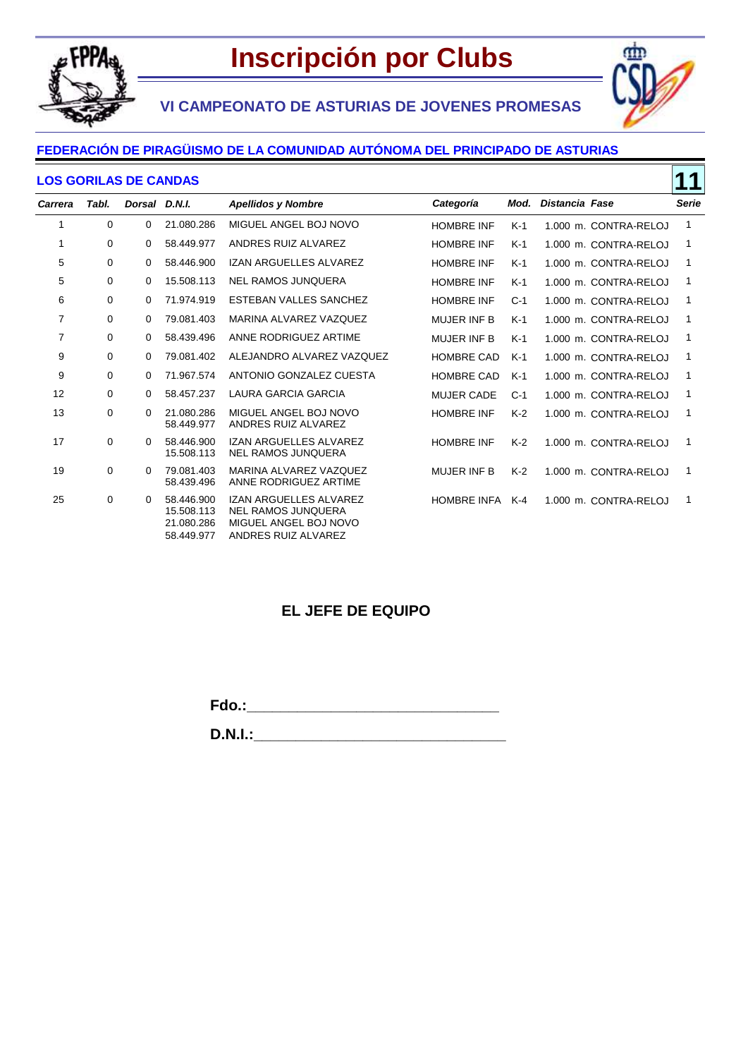

ain



#### **FEDERACIÓN DE PIRAGÜISMO DE LA COMUNIDAD AUTÓNOMA DEL PRINCIPADO DE ASTURIAS**

#### **LOS GORILAS DE CANDAS**

|         | 11<br><b>LOS GORILAS DE CANDAS</b> |               |                                                      |                                                                                                                   |                    |       |                       |              |  |
|---------|------------------------------------|---------------|------------------------------------------------------|-------------------------------------------------------------------------------------------------------------------|--------------------|-------|-----------------------|--------------|--|
| Carrera | Tabl.                              | Dorsal D.N.I. |                                                      | <b>Apellidos y Nombre</b>                                                                                         | Categoría          | Mod.  | Distancia Fase        | <b>Serie</b> |  |
| 1       | 0                                  | 0             | 21.080.286                                           | MIGUEL ANGEL BOJ NOVO                                                                                             | <b>HOMBRE INF</b>  | $K-1$ | 1.000 m. CONTRA-RELOJ | 1            |  |
| 1       | 0                                  | $\Omega$      | 58.449.977                                           | ANDRES RUIZ ALVAREZ                                                                                               | <b>HOMBRE INF</b>  | $K-1$ | 1.000 m. CONTRA-RELOJ | 1            |  |
| 5       | 0                                  | 0             | 58.446.900                                           | <b>IZAN ARGUELLES ALVAREZ</b>                                                                                     | <b>HOMBRE INF</b>  | $K-1$ | 1.000 m. CONTRA-RELOJ | 1            |  |
| 5       | 0                                  | 0             | 15.508.113                                           | <b>NEL RAMOS JUNQUERA</b>                                                                                         | <b>HOMBRE INF</b>  | $K-1$ | 1.000 m. CONTRA-RELOJ | 1            |  |
| 6       | 0                                  | 0             | 71.974.919                                           | <b>ESTEBAN VALLES SANCHEZ</b>                                                                                     | <b>HOMBRE INF</b>  | $C-1$ | 1.000 m. CONTRA-RELOJ | 1            |  |
| 7       | 0                                  | 0             | 79.081.403                                           | MARINA ALVAREZ VAZQUEZ                                                                                            | <b>MUJER INF B</b> | $K-1$ | 1.000 m. CONTRA-RELOJ | 1            |  |
| 7       | 0                                  | $\Omega$      | 58.439.496                                           | ANNE RODRIGUEZ ARTIME                                                                                             | <b>MUJER INF B</b> | $K-1$ | 1.000 m. CONTRA-RELOJ | 1            |  |
| 9       | 0                                  | 0             | 79.081.402                                           | ALEJANDRO ALVAREZ VAZQUEZ                                                                                         | <b>HOMBRE CAD</b>  | $K-1$ | 1.000 m. CONTRA-RELOJ | 1            |  |
| 9       | 0                                  | 0             | 71.967.574                                           | ANTONIO GONZALEZ CUESTA                                                                                           | <b>HOMBRE CAD</b>  | $K-1$ | 1.000 m. CONTRA-RELOJ | 1            |  |
| 12      | 0                                  | 0             | 58.457.237                                           | <b>LAURA GARCIA GARCIA</b>                                                                                        | <b>MUJER CADE</b>  | $C-1$ | 1.000 m. CONTRA-RELOJ | 1            |  |
| 13      | 0                                  | $\Omega$      | 21.080.286<br>58.449.977                             | MIGUEL ANGEL BOJ NOVO<br>ANDRES RUIZ ALVAREZ                                                                      | <b>HOMBRE INF</b>  | $K-2$ | 1.000 m. CONTRA-RELOJ | 1            |  |
| 17      | 0                                  | 0             | 58.446.900<br>15.508.113                             | <b>IZAN ARGUELLES ALVAREZ</b><br><b>NEL RAMOS JUNQUERA</b>                                                        | <b>HOMBRE INF</b>  | $K-2$ | 1.000 m. CONTRA-RELOJ | 1            |  |
| 19      | $\mathbf 0$                        | 0             | 79.081.403<br>58.439.496                             | MARINA ALVAREZ VAZQUEZ<br>ANNE RODRIGUEZ ARTIME                                                                   | <b>MUJER INF B</b> | $K-2$ | 1.000 m. CONTRA-RELOJ | 1            |  |
| 25      | 0                                  | 0             | 58.446.900<br>15.508.113<br>21.080.286<br>58.449.977 | <b>IZAN ARGUELLES ALVAREZ</b><br><b>NEL RAMOS JUNQUERA</b><br>MIGUEL ANGEL BOJ NOVO<br><b>ANDRES RUIZ ALVAREZ</b> | <b>HOMBRE INFA</b> | K-4   | 1.000 m. CONTRA-RELOJ | 1            |  |

### **EL JEFE DE EQUIPO**

**Fdo.:\_\_\_\_\_\_\_\_\_\_\_\_\_\_\_\_\_\_\_\_\_\_\_\_\_\_\_\_\_\_**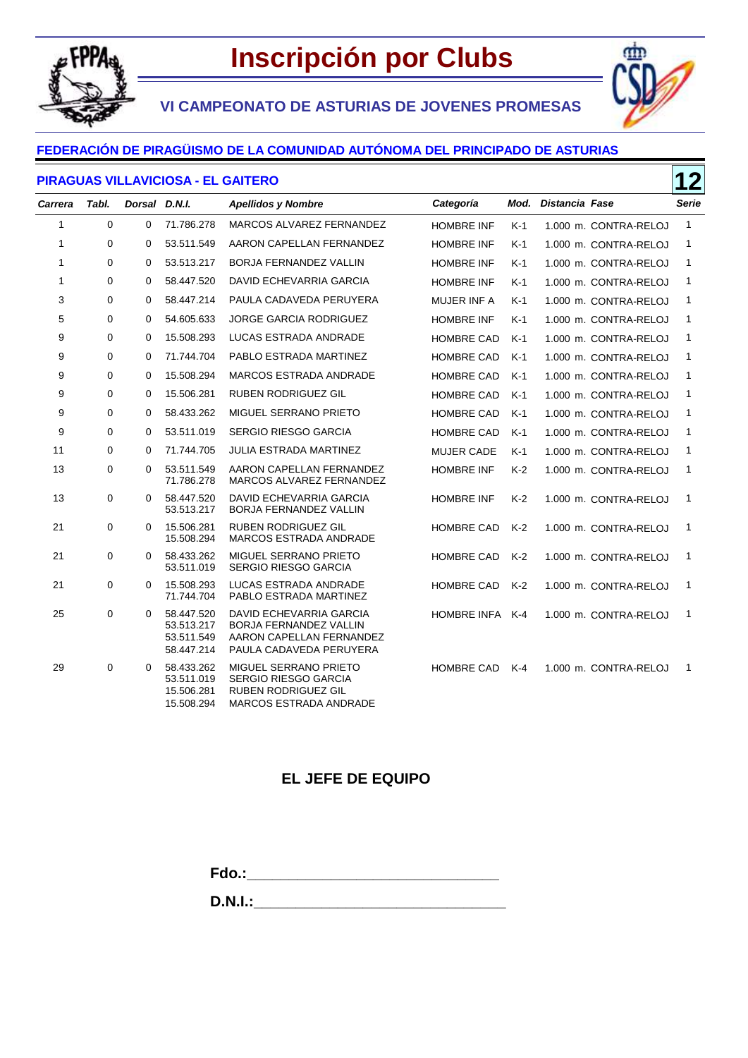

**VI CAMPEONATO DE ASTURIAS DE JOVENES PROMESAS**

#### **FEDERACIÓN DE PIRAGÜISMO DE LA COMUNIDAD AUTÓNOMA DEL PRINCIPADO DE ASTURIAS**

#### **PIRAGUAS VILLAVICIOSA - EL GAITERO**



**12**

|              |       |               |                                                      |                                                                                                                        |                    |       |                       | ▁▁           |
|--------------|-------|---------------|------------------------------------------------------|------------------------------------------------------------------------------------------------------------------------|--------------------|-------|-----------------------|--------------|
| Carrera      | Tabl. | Dorsal D.N.I. |                                                      | <b>Apellidos y Nombre</b>                                                                                              | Categoría          | Mod.  | Distancia Fase        | Serie        |
| 1            | 0     | 0             | 71.786.278                                           | MARCOS ALVAREZ FERNANDEZ                                                                                               | <b>HOMBRE INF</b>  | $K-1$ | 1.000 m. CONTRA-RELOJ | $\mathbf{1}$ |
| $\mathbf{1}$ | 0     | 0             | 53.511.549                                           | AARON CAPELLAN FERNANDEZ                                                                                               | <b>HOMBRE INF</b>  | K-1   | 1.000 m. CONTRA-RELOJ | 1            |
| 1            | 0     | 0             | 53.513.217                                           | <b>BORJA FERNANDEZ VALLIN</b>                                                                                          | <b>HOMBRE INF</b>  | $K-1$ | 1.000 m. CONTRA-RELOJ | 1            |
| 1            | 0     | 0             | 58.447.520                                           | DAVID ECHEVARRIA GARCIA                                                                                                | <b>HOMBRE INF</b>  | $K-1$ | 1.000 m. CONTRA-RELOJ | 1            |
| 3            | 0     | 0             | 58.447.214                                           | PAULA CADAVEDA PERUYERA                                                                                                | <b>MUJER INF A</b> | $K-1$ | 1.000 m. CONTRA-RELOJ | 1            |
| 5            | 0     | 0             | 54.605.633                                           | <b>JORGE GARCIA RODRIGUEZ</b>                                                                                          | <b>HOMBRE INF</b>  | $K-1$ | 1.000 m. CONTRA-RELOJ | 1            |
| 9            | 0     | 0             | 15.508.293                                           | LUCAS ESTRADA ANDRADE                                                                                                  | <b>HOMBRE CAD</b>  | $K-1$ | 1.000 m. CONTRA-RELOJ | 1            |
| 9            | 0     | $\mathbf 0$   | 71.744.704                                           | PABLO ESTRADA MARTINEZ                                                                                                 | <b>HOMBRE CAD</b>  | $K-1$ | 1.000 m. CONTRA-RELOJ | 1            |
| 9            | 0     | 0             | 15.508.294                                           | <b>MARCOS ESTRADA ANDRADE</b>                                                                                          | <b>HOMBRE CAD</b>  | $K-1$ | 1.000 m. CONTRA-RELOJ | 1            |
| 9            | 0     | 0             | 15.506.281                                           | <b>RUBEN RODRIGUEZ GIL</b>                                                                                             | <b>HOMBRE CAD</b>  | $K-1$ | 1.000 m. CONTRA-RELOJ | 1            |
| 9            | 0     | 0             | 58.433.262                                           | MIGUEL SERRANO PRIETO                                                                                                  | <b>HOMBRE CAD</b>  | $K-1$ | 1.000 m. CONTRA-RELOJ | 1            |
| 9            | 0     | 0             | 53.511.019                                           | SERGIO RIESGO GARCIA                                                                                                   | <b>HOMBRE CAD</b>  | $K-1$ | 1.000 m. CONTRA-RELOJ | 1            |
| 11           | 0     | $\Omega$      | 71.744.705                                           | <b>JULIA ESTRADA MARTINEZ</b>                                                                                          | <b>MUJER CADE</b>  | $K-1$ | 1.000 m. CONTRA-RELOJ | 1            |
| 13           | 0     | 0             | 53.511.549<br>71.786.278                             | AARON CAPELLAN FERNANDEZ<br>MARCOS ALVAREZ FERNANDEZ                                                                   | <b>HOMBRE INF</b>  | $K-2$ | 1.000 m. CONTRA-RELOJ | 1            |
| 13           | 0     | $\Omega$      | 58.447.520<br>53.513.217                             | DAVID ECHEVARRIA GARCIA<br>BORJA FERNANDEZ VALLIN                                                                      | <b>HOMBRE INF</b>  | $K-2$ | 1.000 m. CONTRA-RELOJ | 1            |
| 21           | 0     | 0             | 15.506.281<br>15.508.294                             | <b>RUBEN RODRIGUEZ GIL</b><br>MARCOS ESTRADA ANDRADE                                                                   | <b>HOMBRE CAD</b>  | $K-2$ | 1.000 m. CONTRA-RELOJ | 1            |
| 21           | 0     | $\Omega$      | 58.433.262<br>53.511.019                             | MIGUEL SERRANO PRIETO<br><b>SERGIO RIESGO GARCIA</b>                                                                   | <b>HOMBRE CAD</b>  | $K-2$ | 1.000 m. CONTRA-RELOJ | 1            |
| 21           | 0     | 0             | 15.508.293<br>71.744.704                             | LUCAS ESTRADA ANDRADE<br>PABLO ESTRADA MARTINEZ                                                                        | HOMBRE CAD         | $K-2$ | 1.000 m. CONTRA-RELOJ | 1            |
| 25           | 0     | $\Omega$      | 58.447.520<br>53.513.217<br>53.511.549<br>58.447.214 | <b>DAVID ECHEVARRIA GARCIA</b><br><b>BORJA FERNANDEZ VALLIN</b><br>AARON CAPELLAN FERNANDEZ<br>PAULA CADAVEDA PERUYERA | HOMBRE INFA K-4    |       | 1.000 m. CONTRA-RELOJ | 1            |
| 29           | 0     | 0             | 58.433.262<br>53.511.019<br>15.506.281<br>15.508.294 | MIGUEL SERRANO PRIETO<br><b>SERGIO RIESGO GARCIA</b><br><b>RUBEN RODRIGUEZ GIL</b><br>MARCOS ESTRADA ANDRADE           | <b>HOMBRE CAD</b>  | K-4   | 1.000 m. CONTRA-RELOJ | 1            |

### **EL JEFE DE EQUIPO**

**Fdo.:\_\_\_\_\_\_\_\_\_\_\_\_\_\_\_\_\_\_\_\_\_\_\_\_\_\_\_\_\_\_**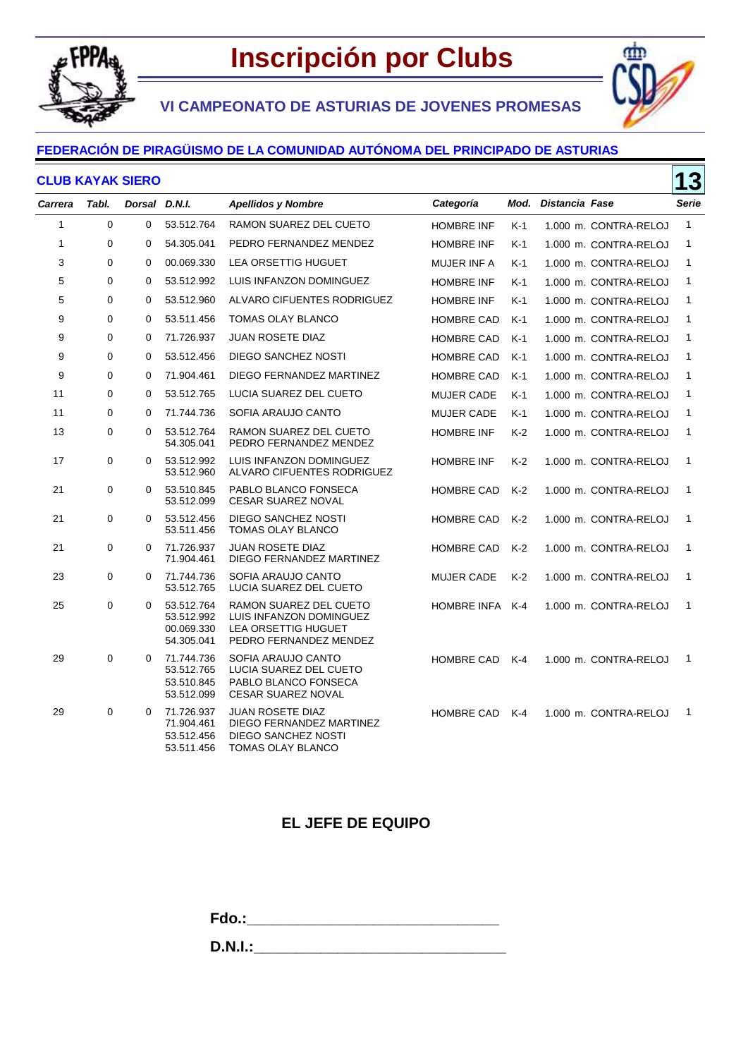

٢m

**VI CAMPEONATO DE ASTURIAS DE JOVENES PROMESAS**

### **FEDERACIÓN DE PIRAGÜISMO DE LA COMUNIDAD AUTÓNOMA DEL PRINCIPADO DE ASTURIAS**

#### **CLUB KAYAK SIERO**

| <b>CLUB KAYAK SIERO</b> |       |               |                                                      |                                                                                                           |                   |       | <b>13</b>           |                       |              |
|-------------------------|-------|---------------|------------------------------------------------------|-----------------------------------------------------------------------------------------------------------|-------------------|-------|---------------------|-----------------------|--------------|
| <b>Carrera</b>          | Tabl. | Dorsal D.N.I. |                                                      | <b>Apellidos y Nombre</b>                                                                                 | Categoría         |       | Mod. Distancia Fase |                       | Serie        |
| $\mathbf{1}$            | 0     | 0             | 53.512.764                                           | RAMON SUAREZ DEL CUETO                                                                                    | <b>HOMBRE INF</b> | K-1   |                     | 1.000 m. CONTRA-RELOJ | $\mathbf{1}$ |
| 1                       | 0     | $\mathbf 0$   | 54.305.041                                           | PEDRO FERNANDEZ MENDEZ                                                                                    | <b>HOMBRE INF</b> | K-1   |                     | 1.000 m. CONTRA-RELOJ | 1            |
| 3                       | 0     | $\mathbf 0$   | 00.069.330                                           | LEA ORSETTIG HUGUET                                                                                       | MUJER INF A       | $K-1$ |                     | 1.000 m. CONTRA-RELOJ | $\mathbf{1}$ |
| 5                       | 0     | 0             | 53.512.992                                           | LUIS INFANZON DOMINGUEZ                                                                                   | <b>HOMBRE INF</b> | $K-1$ |                     | 1.000 m. CONTRA-RELOJ | $\mathbf{1}$ |
| 5                       | 0     | $\mathbf 0$   | 53.512.960                                           | ALVARO CIFUENTES RODRIGUEZ                                                                                | <b>HOMBRE INF</b> | K-1   |                     | 1.000 m. CONTRA-RELOJ | 1            |
| 9                       | 0     | $\mathbf 0$   | 53.511.456                                           | <b>TOMAS OLAY BLANCO</b>                                                                                  | <b>HOMBRE CAD</b> | $K-1$ |                     | 1.000 m. CONTRA-RELOJ | $\mathbf{1}$ |
| 9                       | 0     | $\mathbf 0$   | 71.726.937                                           | <b>JUAN ROSETE DIAZ</b>                                                                                   | <b>HOMBRE CAD</b> | $K-1$ |                     | 1.000 m. CONTRA-RELOJ | 1            |
| 9                       | 0     | $\mathbf 0$   | 53.512.456                                           | <b>DIEGO SANCHEZ NOSTI</b>                                                                                | <b>HOMBRE CAD</b> | $K-1$ |                     | 1.000 m. CONTRA-RELOJ | 1            |
| 9                       | 0     | 0             | 71.904.461                                           | DIEGO FERNANDEZ MARTINEZ                                                                                  | <b>HOMBRE CAD</b> | $K-1$ |                     | 1.000 m. CONTRA-RELOJ | 1            |
| 11                      | 0     | $\mathbf 0$   | 53.512.765                                           | LUCIA SUAREZ DEL CUETO                                                                                    | <b>MUJER CADE</b> | $K-1$ |                     | 1.000 m. CONTRA-RELOJ | 1            |
| 11                      | 0     | $\mathbf 0$   | 71.744.736                                           | SOFIA ARAUJO CANTO                                                                                        | <b>MUJER CADE</b> | K-1   |                     | 1.000 m. CONTRA-RELOJ | $\mathbf{1}$ |
| 13                      | 0     | 0             | 53.512.764<br>54.305.041                             | RAMON SUAREZ DEL CUETO<br>PEDRO FERNANDEZ MENDEZ                                                          | <b>HOMBRE INF</b> | $K-2$ |                     | 1.000 m. CONTRA-RELOJ | $\mathbf{1}$ |
| 17                      | 0     | 0             | 53.512.992<br>53.512.960                             | LUIS INFANZON DOMINGUEZ<br>ALVARO CIFUENTES RODRIGUEZ                                                     | <b>HOMBRE INF</b> | K-2   |                     | 1.000 m. CONTRA-RELOJ | $\mathbf{1}$ |
| 21                      | 0     | 0             | 53.510.845<br>53.512.099                             | PABLO BLANCO FONSECA<br><b>CESAR SUAREZ NOVAL</b>                                                         | <b>HOMBRE CAD</b> | $K-2$ |                     | 1.000 m. CONTRA-RELOJ | $\mathbf{1}$ |
| 21                      | 0     | 0             | 53.512.456<br>53.511.456                             | <b>DIEGO SANCHEZ NOSTI</b><br>TOMAS OLAY BLANCO                                                           | <b>HOMBRE CAD</b> | $K-2$ |                     | 1.000 m. CONTRA-RELOJ | $\mathbf{1}$ |
| 21                      | 0     | 0             | 71.726.937<br>71.904.461                             | <b>JUAN ROSETE DIAZ</b><br>DIEGO FERNANDEZ MARTINEZ                                                       | <b>HOMBRE CAD</b> | $K-2$ |                     | 1.000 m. CONTRA-RELOJ | $\mathbf{1}$ |
| 23                      | 0     | 0             | 71.744.736<br>53.512.765                             | SOFIA ARAUJO CANTO<br>LUCIA SUAREZ DEL CUETO                                                              | <b>MUJER CADE</b> | K-2   |                     | 1.000 m. CONTRA-RELOJ | $\mathbf{1}$ |
| 25                      | 0     | 0             | 53.512.764<br>53.512.992<br>00.069.330<br>54.305.041 | RAMON SUAREZ DEL CUETO<br>LUIS INFANZON DOMINGUEZ<br><b>LEA ORSETTIG HUGUET</b><br>PEDRO FERNANDEZ MENDEZ | HOMBRE INFA       | $K-4$ |                     | 1.000 m. CONTRA-RELOJ | $\mathbf{1}$ |
| 29                      | 0     | 0             | 71.744.736<br>53.512.765<br>53.510.845<br>53.512.099 | SOFIA ARAUJO CANTO<br>LUCIA SUAREZ DEL CUETO<br>PABLO BLANCO FONSECA<br><b>CESAR SUAREZ NOVAL</b>         | <b>HOMBRE CAD</b> | $K-4$ |                     | 1.000 m. CONTRA-RELOJ | 1            |
| 29                      | 0     | 0             | 71.726.937<br>71.904.461<br>53.512.456<br>53.511.456 | <b>JUAN ROSETE DIAZ</b><br>DIEGO FERNANDEZ MARTINEZ<br><b>DIEGO SANCHEZ NOSTI</b><br>TOMAS OLAY BLANCO    | <b>HOMBRE CAD</b> | $K-4$ |                     | 1.000 m. CONTRA-RELOJ | 1            |

## **EL JEFE DE EQUIPO**

**Fdo.:\_\_\_\_\_\_\_\_\_\_\_\_\_\_\_\_\_\_\_\_\_\_\_\_\_\_\_\_\_\_**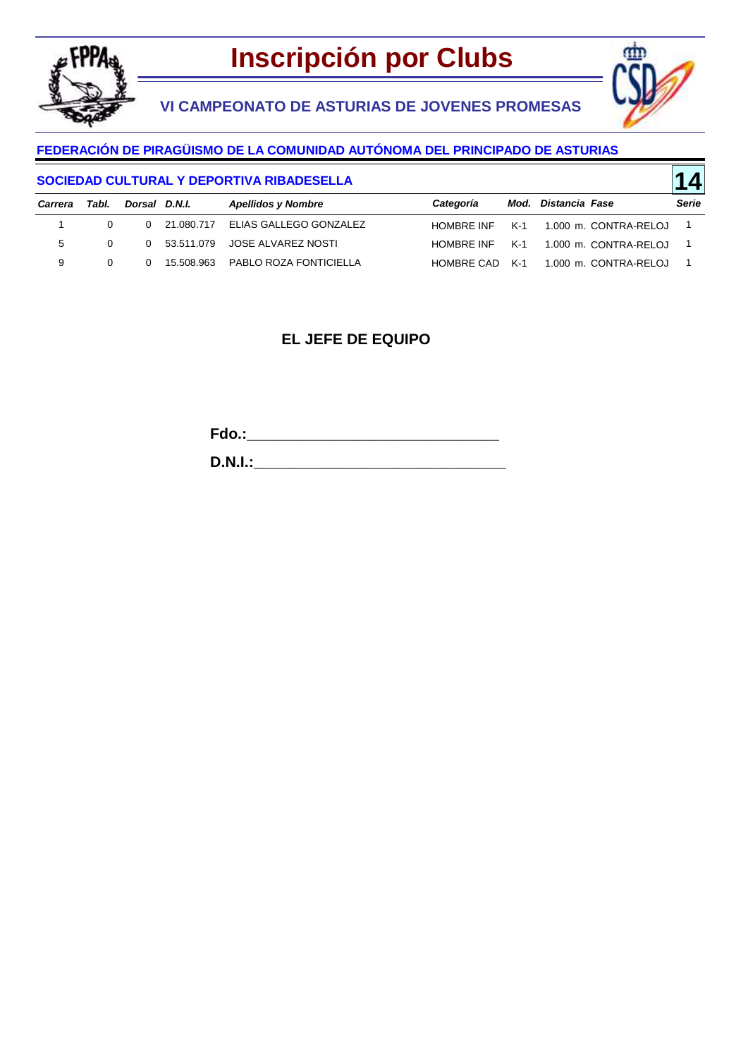

**VI CAMPEONATO DE ASTURIAS DE JOVENES PROMESAS**



**14**

### **FEDERACIÓN DE PIRAGÜISMO DE LA COMUNIDAD AUTÓNOMA DEL PRINCIPADO DE ASTURIAS**

#### **SOCIEDAD CULTURAL Y DEPORTIVA RIBADESELLA**

| Carrera | Tabl.    | Dorsal D.N.I. |              | <b>Apellidos y Nombre</b>           | Categoría  | Mod. Distancia Fase                  | Serie |
|---------|----------|---------------|--------------|-------------------------------------|------------|--------------------------------------|-------|
|         | 0        |               |              | 0 21.080.717 ELIAS GALLEGO GONZALEZ | HOMBRE INF | K-1 1.000 m. CONTRA-RELOJ            |       |
| 5       | $\Omega$ |               |              | 0 53.511.079 JOSE ALVAREZ NOSTI     | HOMBRE INF | K-1 1.000 m. CONTRA-RELOJ            |       |
| 9       | $\Omega$ |               | 0 15.508.963 | PABLO ROZA FONTICIELLA              |            | HOMBRE CAD K-1 1.000 m. CONTRA-RELOJ |       |

### **EL JEFE DE EQUIPO**

**Fdo.:\_\_\_\_\_\_\_\_\_\_\_\_\_\_\_\_\_\_\_\_\_\_\_\_\_\_\_\_\_\_**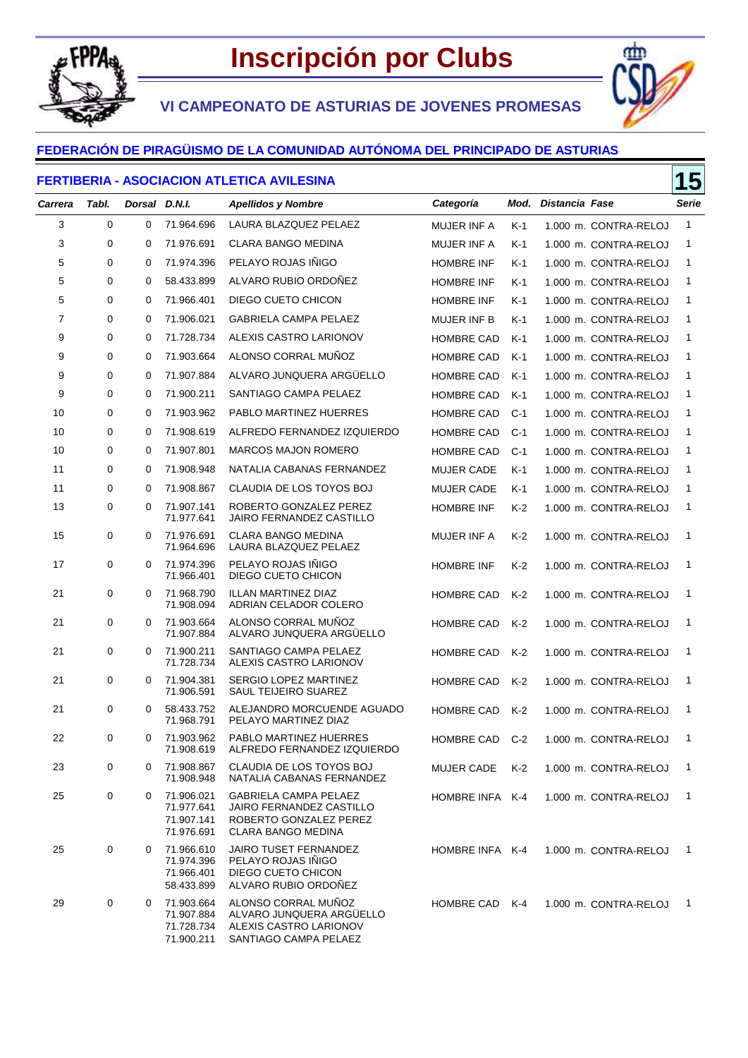

**VI CAMPEONATO DE ASTURIAS DE JOVENES PROMESAS**



٢m

#### **FEDERACIÓN DE PIRAGÜISMO DE LA COMUNIDAD AUTÓNOMA DEL PRINCIPADO DE ASTURIAS**

#### **FERTIBERIA - ASOCIACION ATLETICA AVILESINA**

| <u> ENIA - AUUUMUMIN ATEETIUA AVIEEUINA</u> |             |               |                                                      |                                                                                                                 |                   |       | IJ             |                       |              |
|---------------------------------------------|-------------|---------------|------------------------------------------------------|-----------------------------------------------------------------------------------------------------------------|-------------------|-------|----------------|-----------------------|--------------|
| <b>Carrera</b>                              | Tabl.       | Dorsal D.N.I. |                                                      | <b>Apellidos y Nombre</b>                                                                                       | Categoría         | Mod.  | Distancia Fase |                       | Serie        |
| 3                                           | $\mathbf 0$ | 0             | 71.964.696                                           | LAURA BLAZQUEZ PELAEZ                                                                                           | MUJER INF A       | $K-1$ |                | 1.000 m. CONTRA-RELOJ | $\mathbf{1}$ |
| 3                                           | 0           | 0             | 71.976.691                                           | <b>CLARA BANGO MEDINA</b>                                                                                       | MUJER INF A       | $K-1$ |                | 1.000 m. CONTRA-RELOJ | 1            |
| 5                                           | 0           | 0             | 71.974.396                                           | PELAYO ROJAS IÑIGO                                                                                              | <b>HOMBRE INF</b> | K-1   |                | 1.000 m. CONTRA-RELOJ | 1            |
| 5                                           | 0           | 0             | 58.433.899                                           | ALVARO RUBIO ORDOÑEZ                                                                                            | <b>HOMBRE INF</b> | K-1   |                | 1.000 m. CONTRA-RELOJ | 1            |
| 5                                           | 0           | 0             | 71.966.401                                           | DIEGO CUETO CHICON                                                                                              | <b>HOMBRE INF</b> | K-1   |                | 1.000 m. CONTRA-RELOJ | 1            |
| 7                                           | 0           | 0             | 71.906.021                                           | <b>GABRIELA CAMPA PELAEZ</b>                                                                                    | MUJER INF B       | K-1   |                | 1.000 m. CONTRA-RELOJ | 1            |
| 9                                           | 0           | 0             | 71.728.734                                           | ALEXIS CASTRO LARIONOV                                                                                          | <b>HOMBRE CAD</b> | $K-1$ |                | 1.000 m. CONTRA-RELOJ | 1            |
| 9                                           | 0           | 0             | 71.903.664                                           | ALONSO CORRAL MUNOZ                                                                                             | <b>HOMBRE CAD</b> | $K-1$ |                | 1.000 m. CONTRA-RELOJ | 1            |
| 9                                           | 0           | 0             | 71.907.884                                           | ALVARO JUNQUERA ARGUELLO                                                                                        | <b>HOMBRE CAD</b> | $K-1$ |                | 1.000 m. CONTRA-RELOJ | 1            |
| 9                                           | 0           | 0             | 71.900.211                                           | SANTIAGO CAMPA PELAEZ                                                                                           | <b>HOMBRE CAD</b> | $K-1$ |                | 1.000 m. CONTRA-RELOJ | 1            |
| 10                                          | 0           | 0             | 71.903.962                                           | PABLO MARTINEZ HUERRES                                                                                          | <b>HOMBRE CAD</b> | $C-1$ |                | 1.000 m. CONTRA-RELOJ | 1            |
| 10                                          | 0           | 0             | 71.908.619                                           | ALFREDO FERNANDEZ IZQUIERDO                                                                                     | <b>HOMBRE CAD</b> | $C-1$ |                | 1.000 m. CONTRA-RELOJ | 1            |
| 10                                          | 0           | 0             | 71.907.801                                           | <b>MARCOS MAJON ROMERO</b>                                                                                      | <b>HOMBRE CAD</b> | $C-1$ |                | 1.000 m. CONTRA-RELOJ | 1            |
| 11                                          | 0           | 0             | 71.908.948                                           | NATALIA CABANAS FERNANDEZ                                                                                       | <b>MUJER CADE</b> | $K-1$ |                | 1.000 m. CONTRA-RELOJ | 1            |
| 11                                          | 0           | 0             | 71.908.867                                           | CLAUDIA DE LOS TOYOS BOJ                                                                                        | <b>MUJER CADE</b> | K-1   |                | 1.000 m. CONTRA-RELOJ | 1            |
| 13                                          | 0           | 0             | 71.907.141<br>71.977.641                             | ROBERTO GONZALEZ PEREZ<br>JAIRO FERNANDEZ CASTILLO                                                              | <b>HOMBRE INF</b> | K-2   |                | 1.000 m. CONTRA-RELOJ | 1            |
| 15                                          | 0           | 0             | 71.976.691<br>71.964.696                             | <b>CLARA BANGO MEDINA</b><br>LAURA BLAZQUEZ PELAEZ                                                              | MUJER INF A       | K-2   |                | 1.000 m. CONTRA-RELOJ | $\mathbf{1}$ |
| 17                                          | 0           | 0             | 71.974.396<br>71.966.401                             | PELAYO ROJAS IÑIGO<br>DIEGO CUETO CHICON                                                                        | <b>HOMBRE INF</b> | K-2   |                | 1.000 m. CONTRA-RELOJ | 1            |
| 21                                          | 0           | 0             | 71.968.790<br>71.908.094                             | <b>ILLAN MARTINEZ DIAZ</b><br>ADRIAN CELADOR COLERO                                                             | <b>HOMBRE CAD</b> | K-2   |                | 1.000 m. CONTRA-RELOJ | 1            |
| 21                                          | 0           | 0             | 71.903.664<br>71.907.884                             | ALONSO CORRAL MUÑOZ<br>ALVARO JUNQUERA ARGUELLO                                                                 | <b>HOMBRE CAD</b> | $K-2$ |                | 1.000 m. CONTRA-RELOJ | 1            |
| 21                                          | 0           | 0             | 71.900.211<br>71.728.734                             | SANTIAGO CAMPA PELAEZ<br>ALEXIS CASTRO LARIONOV                                                                 | <b>HOMBRE CAD</b> | K-2   |                | 1.000 m. CONTRA-RELOJ | 1            |
| 21                                          | 0           | 0             | 71.904.381<br>71.906.591                             | SERGIO LOPEZ MARTINEZ<br>SAUL TEIJEIRO SUAREZ                                                                   | <b>HOMBRE CAD</b> | K-2   |                | 1.000 m. CONTRA-RELOJ | 1            |
| 21                                          | 0           | 0             | 58.433.752<br>71.968.791                             | ALEJANDRO MORCUENDE AGUADO<br>PELAYO MARTINEZ DIAZ                                                              | <b>HOMBRE CAD</b> | K-2   |                | 1.000 m. CONTRA-RELOJ | 1            |
| 22                                          | 0           | 0             | 71.903.962<br>71.908.619                             | PABLO MARTINEZ HUERRES<br>ALFREDO FERNANDEZ IZQUIERDO                                                           | <b>HOMBRE CAD</b> | $C-2$ |                | 1.000 m. CONTRA-RELOJ | 1            |
| 23                                          | 0           | 0             | 71.908.867<br>71.908.948                             | CLAUDIA DE LOS TOYOS BOJ<br>NATALIA CABANAS FERNANDEZ                                                           | <b>MUJER CADE</b> | $K-2$ |                | 1.000 m. CONTRA-RELOJ | 1            |
| 25                                          | 0           | 0             | 71.906.021<br>71.977.641<br>71.907.141<br>71.976.691 | <b>GABRIELA CAMPA PELAEZ</b><br>JAIRO FERNANDEZ CASTILLO<br>ROBERTO GONZALEZ PEREZ<br><b>CLARA BANGO MEDINA</b> | HOMBRE INFA K-4   |       |                | 1.000 m. CONTRA-RELOJ | 1            |
| 25                                          | 0           | 0             | 71.966.610<br>71.974.396<br>71.966.401<br>58.433.899 | <b>JAIRO TUSET FERNANDEZ</b><br>PELAYO ROJAS IÑIGO<br>DIEGO CUETO CHICON<br>ALVARO RUBIO ORDOÑEZ                | HOMBRE INFA K-4   |       |                | 1.000 m. CONTRA-RELOJ | 1            |
| 29                                          | 0           | 0             | 71.903.664<br>71.907.884<br>71.728.734<br>71.900.211 | ALONSO CORRAL MUÑOZ<br>ALVARO JUNQUERA ARGUELLO<br>ALEXIS CASTRO LARIONOV<br>SANTIAGO CAMPA PELAEZ              | <b>HOMBRE CAD</b> | $K-4$ |                | 1.000 m. CONTRA-RELOJ | 1            |